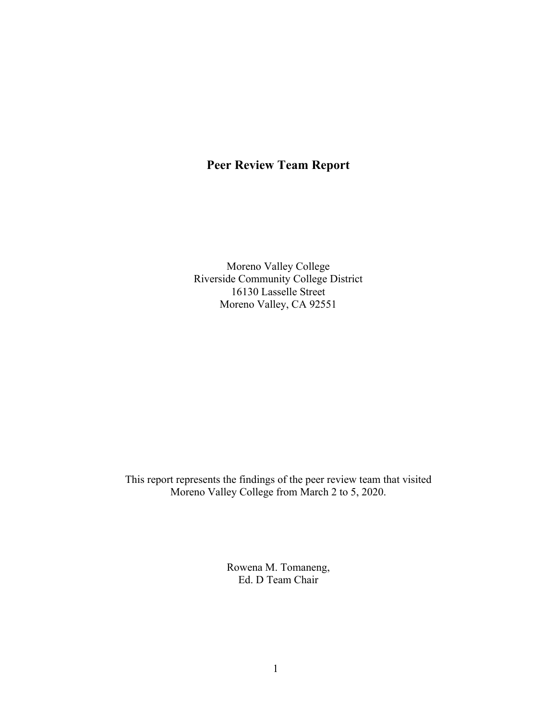# **Peer Review Team Report**

Moreno Valley College Riverside Community College District 16130 Lasselle Street Moreno Valley, CA 92551

This report represents the findings of the peer review team that visited Moreno Valley College from March 2 to 5, 2020.

> Rowena M. Tomaneng, Ed. D Team Chair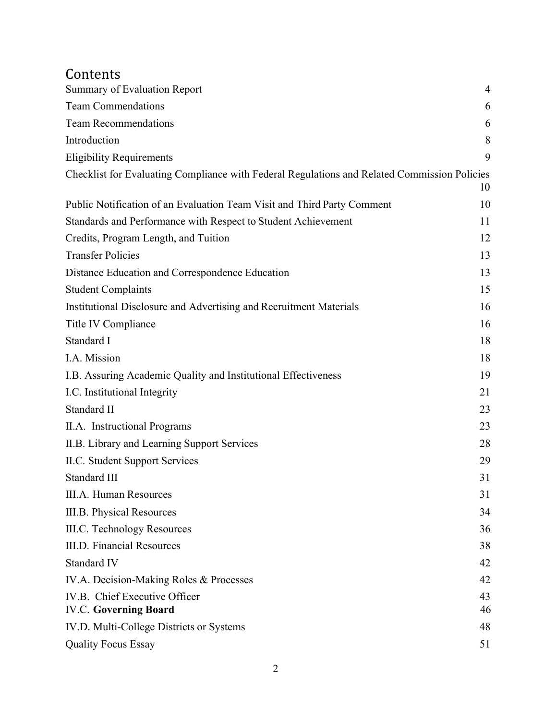# Contents

| <b>Summary of Evaluation Report</b>                                                          | $\overline{4}$ |
|----------------------------------------------------------------------------------------------|----------------|
| <b>Team Commendations</b>                                                                    | 6              |
| <b>Team Recommendations</b>                                                                  | 6              |
| Introduction                                                                                 | 8              |
| <b>Eligibility Requirements</b>                                                              | 9              |
| Checklist for Evaluating Compliance with Federal Regulations and Related Commission Policies | 10             |
| Public Notification of an Evaluation Team Visit and Third Party Comment                      | 10             |
| Standards and Performance with Respect to Student Achievement                                | 11             |
| Credits, Program Length, and Tuition                                                         | 12             |
| <b>Transfer Policies</b>                                                                     | 13             |
| Distance Education and Correspondence Education                                              | 13             |
| <b>Student Complaints</b>                                                                    | 15             |
| Institutional Disclosure and Advertising and Recruitment Materials                           | 16             |
| Title IV Compliance                                                                          | 16             |
| Standard I                                                                                   | 18             |
| I.A. Mission                                                                                 | 18             |
| I.B. Assuring Academic Quality and Institutional Effectiveness                               | 19             |
| I.C. Institutional Integrity                                                                 | 21             |
| Standard II                                                                                  | 23             |
| II.A. Instructional Programs                                                                 | 23             |
| II.B. Library and Learning Support Services                                                  | 28             |
| II.C. Student Support Services                                                               | 29             |
| Standard III                                                                                 | 31             |
| <b>III.A. Human Resources</b>                                                                | 31             |
| III.B. Physical Resources                                                                    | 34             |
| <b>III.C. Technology Resources</b>                                                           | 36             |
| <b>III.D. Financial Resources</b>                                                            | 38             |
| Standard IV                                                                                  | 42             |
| IV.A. Decision-Making Roles & Processes                                                      | 42             |
| IV.B. Chief Executive Officer                                                                | 43             |
| <b>IV.C. Governing Board</b>                                                                 | 46             |
| IV.D. Multi-College Districts or Systems                                                     | 48             |
| <b>Quality Focus Essay</b>                                                                   | 51             |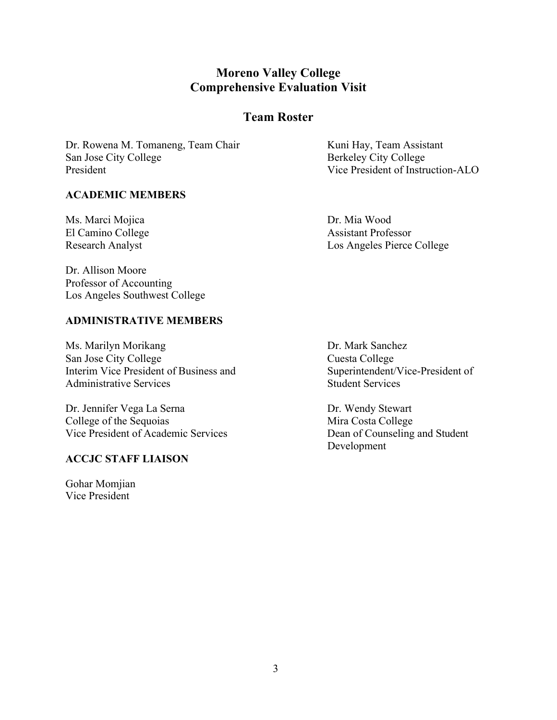# **Moreno Valley College Comprehensive Evaluation Visit**

# **Team Roster**

Dr. Rowena M. Tomaneng, Team Chair Kuni Hay, Team Assistant San Jose City College Berkeley City College President **President President President O** 

#### **ACADEMIC MEMBERS**

Ms. Marci Mojica Dr. Mia Wood

El Camino College Assistant Professor Research Analyst Los Angeles Pierce College

Dr. Allison Moore Professor of Accounting Los Angeles Southwest College

#### **ADMINISTRATIVE MEMBERS**

Ms. Marilyn Morikang Dr. Mark Sanchez San Jose City College<br>
Interim Vice President of Business and<br>
Superintendent/Vice-President of Interim Vice President of Business and Administrative Services and Student Services Student Services

Dr. Jennifer Vega La Serna Dr. Wendy Stewart College of the Sequoias Mira Costa College Vice President of Academic Services Dean of Counseling and Student

#### **ACCJC STAFF LIAISON**

Gohar Momjian Vice President

Development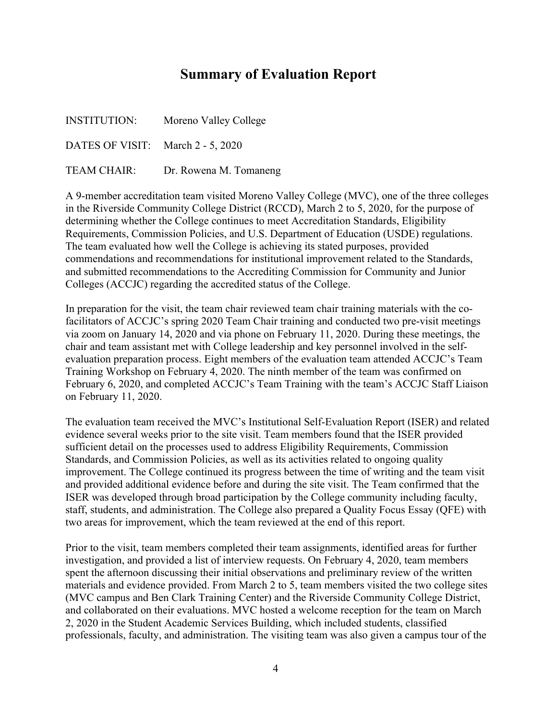# **Summary of Evaluation Report**

| <b>INSTITUTION:</b>               | Moreno Valley College  |
|-----------------------------------|------------------------|
| DATES OF VISIT: March 2 - 5, 2020 |                        |
| <b>TEAM CHAIR:</b>                | Dr. Rowena M. Tomaneng |

A 9-member accreditation team visited Moreno Valley College (MVC), one of the three colleges in the Riverside Community College District (RCCD), March 2 to 5, 2020, for the purpose of determining whether the College continues to meet Accreditation Standards, Eligibility Requirements, Commission Policies, and U.S. Department of Education (USDE) regulations. The team evaluated how well the College is achieving its stated purposes, provided commendations and recommendations for institutional improvement related to the Standards, and submitted recommendations to the Accrediting Commission for Community and Junior Colleges (ACCJC) regarding the accredited status of the College.

In preparation for the visit, the team chair reviewed team chair training materials with the cofacilitators of ACCJC's spring 2020 Team Chair training and conducted two pre-visit meetings via zoom on January 14, 2020 and via phone on February 11, 2020. During these meetings, the chair and team assistant met with College leadership and key personnel involved in the selfevaluation preparation process. Eight members of the evaluation team attended ACCJC's Team Training Workshop on February 4, 2020. The ninth member of the team was confirmed on February 6, 2020, and completed ACCJC's Team Training with the team's ACCJC Staff Liaison on February 11, 2020.

The evaluation team received the MVC's Institutional Self-Evaluation Report (ISER) and related evidence several weeks prior to the site visit. Team members found that the ISER provided sufficient detail on the processes used to address Eligibility Requirements, Commission Standards, and Commission Policies, as well as its activities related to ongoing quality improvement. The College continued its progress between the time of writing and the team visit and provided additional evidence before and during the site visit. The Team confirmed that the ISER was developed through broad participation by the College community including faculty, staff, students, and administration. The College also prepared a Quality Focus Essay (QFE) with two areas for improvement, which the team reviewed at the end of this report.

Prior to the visit, team members completed their team assignments, identified areas for further investigation, and provided a list of interview requests. On February 4, 2020, team members spent the afternoon discussing their initial observations and preliminary review of the written materials and evidence provided. From March 2 to 5, team members visited the two college sites (MVC campus and Ben Clark Training Center) and the Riverside Community College District, and collaborated on their evaluations. MVC hosted a welcome reception for the team on March 2, 2020 in the Student Academic Services Building, which included students, classified professionals, faculty, and administration. The visiting team was also given a campus tour of the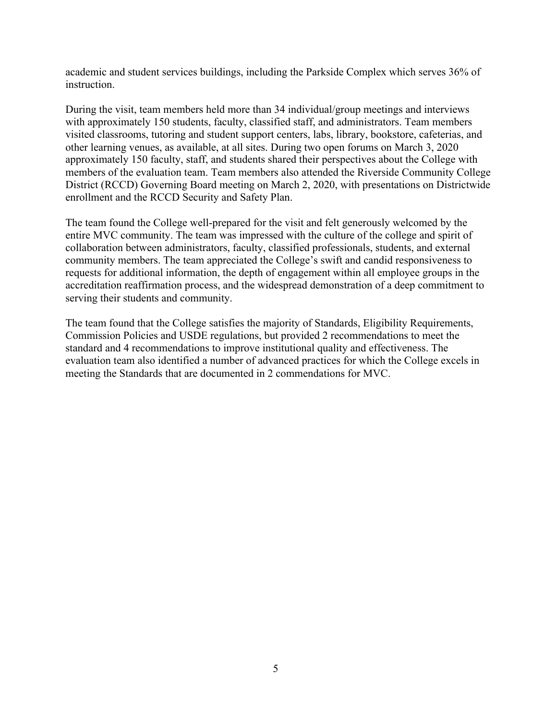academic and student services buildings, including the Parkside Complex which serves 36% of instruction.

During the visit, team members held more than 34 individual/group meetings and interviews with approximately 150 students, faculty, classified staff, and administrators. Team members visited classrooms, tutoring and student support centers, labs, library, bookstore, cafeterias, and other learning venues, as available, at all sites. During two open forums on March 3, 2020 approximately 150 faculty, staff, and students shared their perspectives about the College with members of the evaluation team. Team members also attended the Riverside Community College District (RCCD) Governing Board meeting on March 2, 2020, with presentations on Districtwide enrollment and the RCCD Security and Safety Plan.

The team found the College well-prepared for the visit and felt generously welcomed by the entire MVC community. The team was impressed with the culture of the college and spirit of collaboration between administrators, faculty, classified professionals, students, and external community members. The team appreciated the College's swift and candid responsiveness to requests for additional information, the depth of engagement within all employee groups in the accreditation reaffirmation process, and the widespread demonstration of a deep commitment to serving their students and community.

The team found that the College satisfies the majority of Standards, Eligibility Requirements, Commission Policies and USDE regulations, but provided 2 recommendations to meet the standard and 4 recommendations to improve institutional quality and effectiveness. The evaluation team also identified a number of advanced practices for which the College excels in meeting the Standards that are documented in 2 commendations for MVC.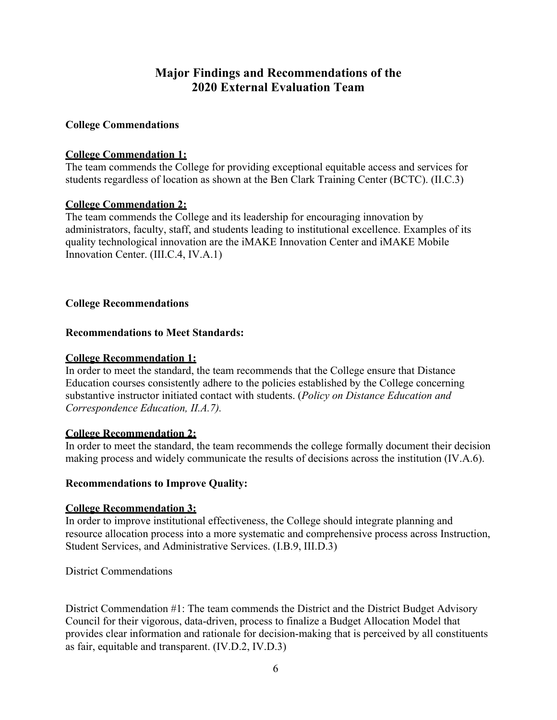# **Major Findings and Recommendations of the 2020 External Evaluation Team**

## **College Commendations**

## **College Commendation 1:**

The team commends the College for providing exceptional equitable access and services for students regardless of location as shown at the Ben Clark Training Center (BCTC). (II.C.3)

## **College Commendation 2:**

The team commends the College and its leadership for encouraging innovation by administrators, faculty, staff, and students leading to institutional excellence. Examples of its quality technological innovation are the iMAKE Innovation Center and iMAKE Mobile Innovation Center. (III.C.4, IV.A.1)

## **College Recommendations**

## **Recommendations to Meet Standards:**

## **College Recommendation 1:**

In order to meet the standard, the team recommends that the College ensure that Distance Education courses consistently adhere to the policies established by the College concerning substantive instructor initiated contact with students. (*Policy on Distance Education and Correspondence Education, II.A.7).*

## **College Recommendation 2:**

In order to meet the standard, the team recommends the college formally document their decision making process and widely communicate the results of decisions across the institution (IV.A.6).

## **Recommendations to Improve Quality:**

## **College Recommendation 3:**

In order to improve institutional effectiveness, the College should integrate planning and resource allocation process into a more systematic and comprehensive process across Instruction, Student Services, and Administrative Services. (I.B.9, III.D.3)

District Commendations

District Commendation #1: The team commends the District and the District Budget Advisory Council for their vigorous, data-driven, process to finalize a Budget Allocation Model that provides clear information and rationale for decision-making that is perceived by all constituents as fair, equitable and transparent. (IV.D.2, IV.D.3)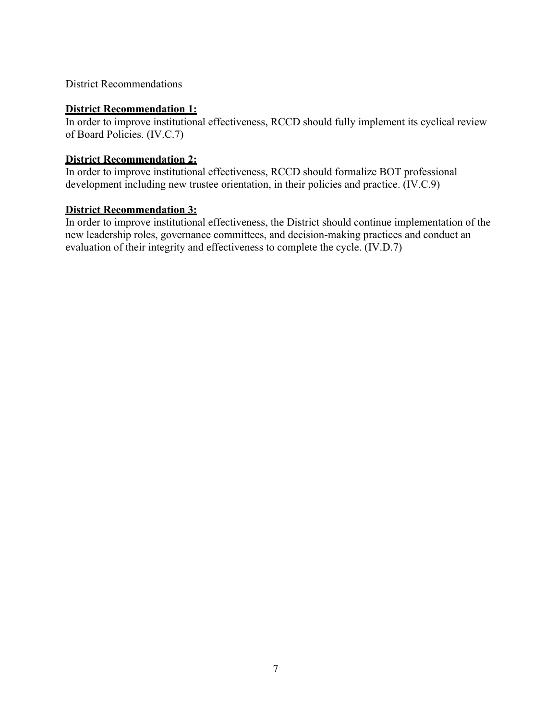District Recommendations

#### **District Recommendation 1:**

In order to improve institutional effectiveness, RCCD should fully implement its cyclical review of Board Policies. (IV.C.7)

## **District Recommendation 2:**

In order to improve institutional effectiveness, RCCD should formalize BOT professional development including new trustee orientation, in their policies and practice. (IV.C.9)

#### **District Recommendation 3:**

In order to improve institutional effectiveness, the District should continue implementation of the new leadership roles, governance committees, and decision-making practices and conduct an evaluation of their integrity and effectiveness to complete the cycle. (IV.D.7)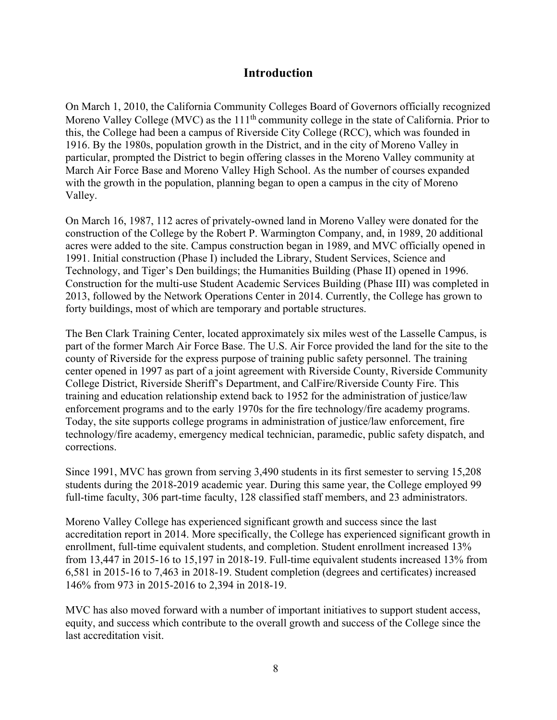# **Introduction**

On March 1, 2010, the California Community Colleges Board of Governors officially recognized Moreno Valley College (MVC) as the  $111<sup>th</sup>$  community college in the state of California. Prior to this, the College had been a campus of Riverside City College (RCC), which was founded in 1916. By the 1980s, population growth in the District, and in the city of Moreno Valley in particular, prompted the District to begin offering classes in the Moreno Valley community at March Air Force Base and Moreno Valley High School. As the number of courses expanded with the growth in the population, planning began to open a campus in the city of Moreno Valley.

On March 16, 1987, 112 acres of privately-owned land in Moreno Valley were donated for the construction of the College by the Robert P. Warmington Company, and, in 1989, 20 additional acres were added to the site. Campus construction began in 1989, and MVC officially opened in 1991. Initial construction (Phase I) included the Library, Student Services, Science and Technology, and Tiger's Den buildings; the Humanities Building (Phase II) opened in 1996. Construction for the multi-use Student Academic Services Building (Phase III) was completed in 2013, followed by the Network Operations Center in 2014. Currently, the College has grown to forty buildings, most of which are temporary and portable structures.

The Ben Clark Training Center, located approximately six miles west of the Lasselle Campus, is part of the former March Air Force Base. The U.S. Air Force provided the land for the site to the county of Riverside for the express purpose of training public safety personnel. The training center opened in 1997 as part of a joint agreement with Riverside County, Riverside Community College District, Riverside Sheriff's Department, and CalFire/Riverside County Fire. This training and education relationship extend back to 1952 for the administration of justice/law enforcement programs and to the early 1970s for the fire technology/fire academy programs. Today, the site supports college programs in administration of justice/law enforcement, fire technology/fire academy, emergency medical technician, paramedic, public safety dispatch, and corrections.

Since 1991, MVC has grown from serving 3,490 students in its first semester to serving 15,208 students during the 2018-2019 academic year. During this same year, the College employed 99 full-time faculty, 306 part-time faculty, 128 classified staff members, and 23 administrators.

Moreno Valley College has experienced significant growth and success since the last accreditation report in 2014. More specifically, the College has experienced significant growth in enrollment, full-time equivalent students, and completion. Student enrollment increased 13% from 13,447 in 2015-16 to 15,197 in 2018-19. Full-time equivalent students increased 13% from 6,581 in 2015-16 to 7,463 in 2018-19. Student completion (degrees and certificates) increased 146% from 973 in 2015-2016 to 2,394 in 2018-19.

MVC has also moved forward with a number of important initiatives to support student access, equity, and success which contribute to the overall growth and success of the College since the last accreditation visit.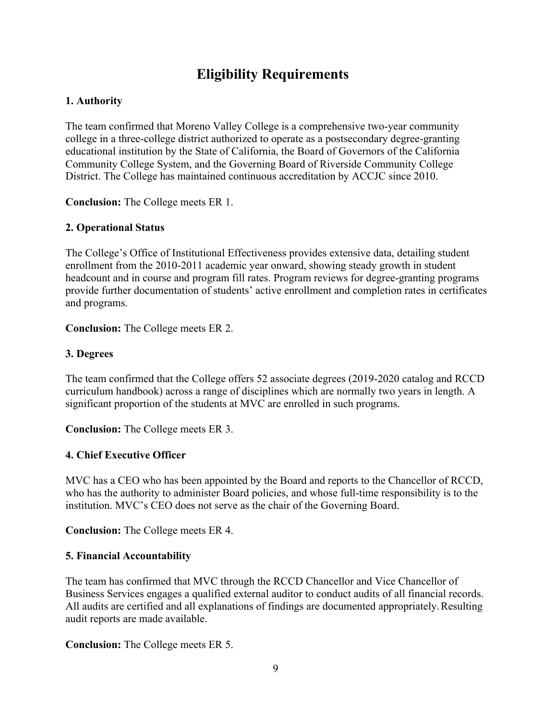# **Eligibility Requirements**

## **1. Authority**

The team confirmed that Moreno Valley College is a comprehensive two-year community college in a three-college district authorized to operate as a postsecondary degree-granting educational institution by the State of California, the Board of Governors of the California Community College System, and the Governing Board of Riverside Community College District. The College has maintained continuous accreditation by ACCJC since 2010.

**Conclusion:** The College meets ER 1.

## **2. Operational Status**

The College's Office of Institutional Effectiveness provides extensive data, detailing student enrollment from the 2010-2011 academic year onward, showing steady growth in student headcount and in course and program fill rates. Program reviews for degree-granting programs provide further documentation of students' active enrollment and completion rates in certificates and programs.

**Conclusion:** The College meets ER 2.

#### **3. Degrees**

The team confirmed that the College offers 52 associate degrees (2019-2020 catalog and RCCD curriculum handbook) across a range of disciplines which are normally two years in length. A significant proportion of the students at MVC are enrolled in such programs.

**Conclusion:** The College meets ER 3.

#### **4. Chief Executive Officer**

MVC has a CEO who has been appointed by the Board and reports to the Chancellor of RCCD, who has the authority to administer Board policies, and whose full-time responsibility is to the institution. MVC's CEO does not serve as the chair of the Governing Board.

**Conclusion:** The College meets ER 4.

#### **5. Financial Accountability**

The team has confirmed that MVC through the RCCD Chancellor and Vice Chancellor of Business Services engages a qualified external auditor to conduct audits of all financial records. All audits are certified and all explanations of findings are documented appropriately.Resulting audit reports are made available.

**Conclusion:** The College meets ER 5.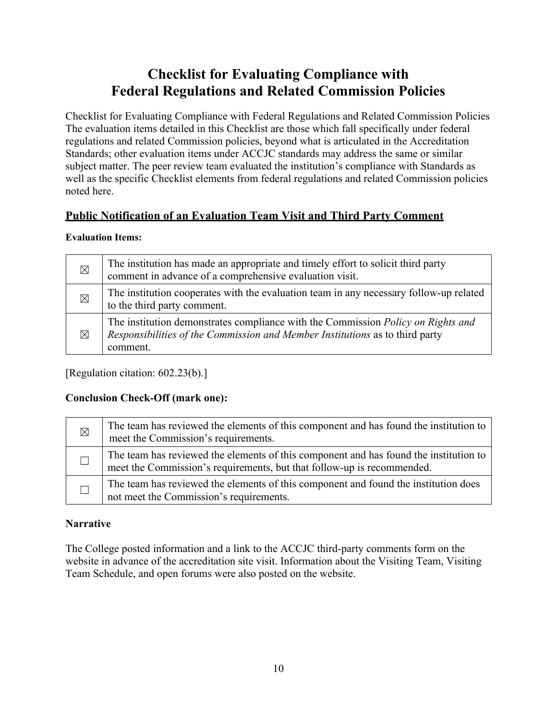# **Checklist for Evaluating Compliance with Federal Regulations and Related Commission Policies**

Checklist for Evaluating Compliance with Federal Regulations and Related Commission Policies The evaluation items detailed in this Checklist are those which fall specifically under federal regulations and related Commission policies, beyond what is articulated in the Accreditation Standards; other evaluation items under ACCJC standards may address the same or similar subject matter. The peer review team evaluated the institution's compliance with Standards as well as the specific Checklist elements from federal regulations and related Commission policies noted here.

# **Public Notification of an Evaluation Team Visit and Third Party Comment**

## **Evaluation Items:**

| $\boxtimes$ | The institution has made an appropriate and timely effort to solicit third party<br>comment in advance of a comprehensive evaluation visit.                                  |
|-------------|------------------------------------------------------------------------------------------------------------------------------------------------------------------------------|
| $\boxtimes$ | The institution cooperates with the evaluation team in any necessary follow-up related<br>to the third party comment.                                                        |
| $\boxtimes$ | The institution demonstrates compliance with the Commission Policy on Rights and<br>Responsibilities of the Commission and Member Institutions as to third party<br>comment. |

[Regulation citation: 602.23(b).]

# **Conclusion Check-Off (mark one):**

| $\boxtimes$ | The team has reviewed the elements of this component and has found the institution to<br>meet the Commission's requirements.                                    |
|-------------|-----------------------------------------------------------------------------------------------------------------------------------------------------------------|
|             | The team has reviewed the elements of this component and has found the institution to<br>meet the Commission's requirements, but that follow-up is recommended. |
|             | The team has reviewed the elements of this component and found the institution does<br>not meet the Commission's requirements.                                  |

# **Narrative**

The College posted information and a link to the ACCJC third-party comments form on the website in advance of the accreditation site visit. Information about the Visiting Team, Visiting Team Schedule, and open forums were also posted on the website.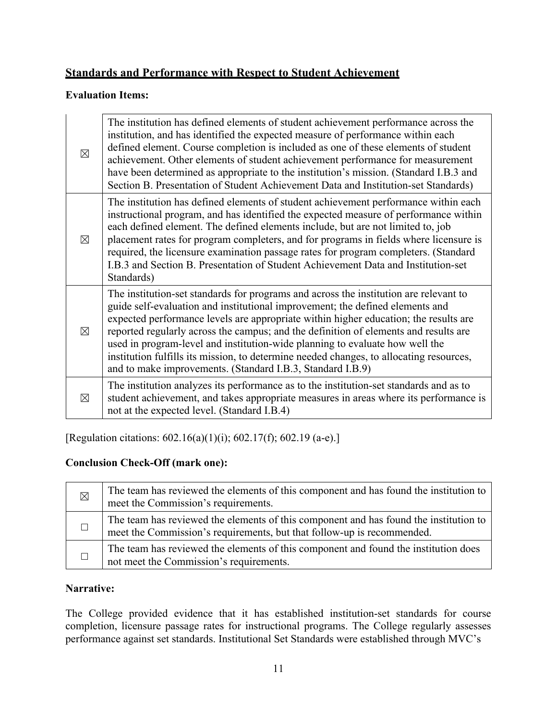# **Standards and Performance with Respect to Student Achievement**

## **Evaluation Items:**

| $\boxtimes$ | The institution has defined elements of student achievement performance across the<br>institution, and has identified the expected measure of performance within each<br>defined element. Course completion is included as one of these elements of student<br>achievement. Other elements of student achievement performance for measurement<br>have been determined as appropriate to the institution's mission. (Standard I.B.3 and<br>Section B. Presentation of Student Achievement Data and Institution-set Standards)                                                                    |
|-------------|-------------------------------------------------------------------------------------------------------------------------------------------------------------------------------------------------------------------------------------------------------------------------------------------------------------------------------------------------------------------------------------------------------------------------------------------------------------------------------------------------------------------------------------------------------------------------------------------------|
| $\boxtimes$ | The institution has defined elements of student achievement performance within each<br>instructional program, and has identified the expected measure of performance within<br>each defined element. The defined elements include, but are not limited to, job<br>placement rates for program completers, and for programs in fields where licensure is<br>required, the licensure examination passage rates for program completers. (Standard<br>I.B.3 and Section B. Presentation of Student Achievement Data and Institution-set<br>Standards)                                               |
| $\boxtimes$ | The institution-set standards for programs and across the institution are relevant to<br>guide self-evaluation and institutional improvement; the defined elements and<br>expected performance levels are appropriate within higher education; the results are<br>reported regularly across the campus; and the definition of elements and results are<br>used in program-level and institution-wide planning to evaluate how well the<br>institution fulfills its mission, to determine needed changes, to allocating resources,<br>and to make improvements. (Standard I.B.3, Standard I.B.9) |
| ⊠           | The institution analyzes its performance as to the institution-set standards and as to<br>student achievement, and takes appropriate measures in areas where its performance is<br>not at the expected level. (Standard I.B.4)                                                                                                                                                                                                                                                                                                                                                                  |

[Regulation citations: 602.16(a)(1)(i); 602.17(f); 602.19 (a-e).]

# **Conclusion Check-Off (mark one):**

| $\boxtimes$ | The team has reviewed the elements of this component and has found the institution to<br>meet the Commission's requirements.                                    |
|-------------|-----------------------------------------------------------------------------------------------------------------------------------------------------------------|
|             | The team has reviewed the elements of this component and has found the institution to<br>meet the Commission's requirements, but that follow-up is recommended. |
|             | The team has reviewed the elements of this component and found the institution does<br>not meet the Commission's requirements.                                  |

# **Narrative:**

The College provided evidence that it has established institution-set standards for course completion, licensure passage rates for instructional programs. The College regularly assesses performance against set standards. Institutional Set Standards were established through MVC's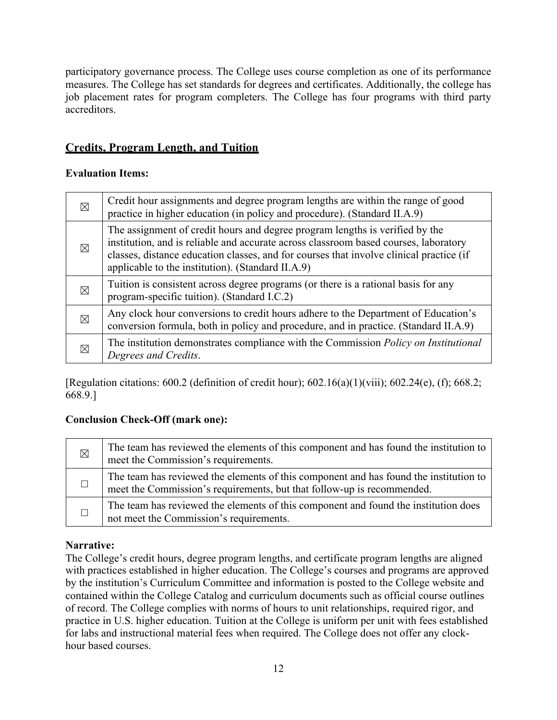participatory governance process. The College uses course completion as one of its performance measures. The College has set standards for degrees and certificates. Additionally, the college has job placement rates for program completers. The College has four programs with third party accreditors.

# **Credits, Program Length, and Tuition**

## **Evaluation Items:**

| $\boxtimes$ | Credit hour assignments and degree program lengths are within the range of good<br>practice in higher education (in policy and procedure). (Standard II.A.9)                                                                                                                                                         |
|-------------|----------------------------------------------------------------------------------------------------------------------------------------------------------------------------------------------------------------------------------------------------------------------------------------------------------------------|
| ⊠           | The assignment of credit hours and degree program lengths is verified by the<br>institution, and is reliable and accurate across classroom based courses, laboratory<br>classes, distance education classes, and for courses that involve clinical practice (if<br>applicable to the institution). (Standard II.A.9) |
| $\boxtimes$ | Tuition is consistent across degree programs (or there is a rational basis for any<br>program-specific tuition). (Standard I.C.2)                                                                                                                                                                                    |
| ⊠           | Any clock hour conversions to credit hours adhere to the Department of Education's<br>conversion formula, both in policy and procedure, and in practice. (Standard II.A.9)                                                                                                                                           |
| ⊠           | The institution demonstrates compliance with the Commission <i>Policy on Institutional</i><br>Degrees and Credits.                                                                                                                                                                                                   |

[Regulation citations: 600.2 (definition of credit hour); 602.16(a)(1)(viii); 602.24(e), (f); 668.2; 668.9.]

## **Conclusion Check-Off (mark one):**

| $\boxtimes$ | The team has reviewed the elements of this component and has found the institution to<br>meet the Commission's requirements.                                    |
|-------------|-----------------------------------------------------------------------------------------------------------------------------------------------------------------|
|             | The team has reviewed the elements of this component and has found the institution to<br>meet the Commission's requirements, but that follow-up is recommended. |
|             | The team has reviewed the elements of this component and found the institution does<br>not meet the Commission's requirements.                                  |

# **Narrative:**

The College's credit hours, degree program lengths, and certificate program lengths are aligned with practices established in higher education. The College's courses and programs are approved by the institution's Curriculum Committee and information is posted to the College website and contained within the College Catalog and curriculum documents such as official course outlines of record. The College complies with norms of hours to unit relationships, required rigor, and practice in U.S. higher education. Tuition at the College is uniform per unit with fees established for labs and instructional material fees when required. The College does not offer any clockhour based courses.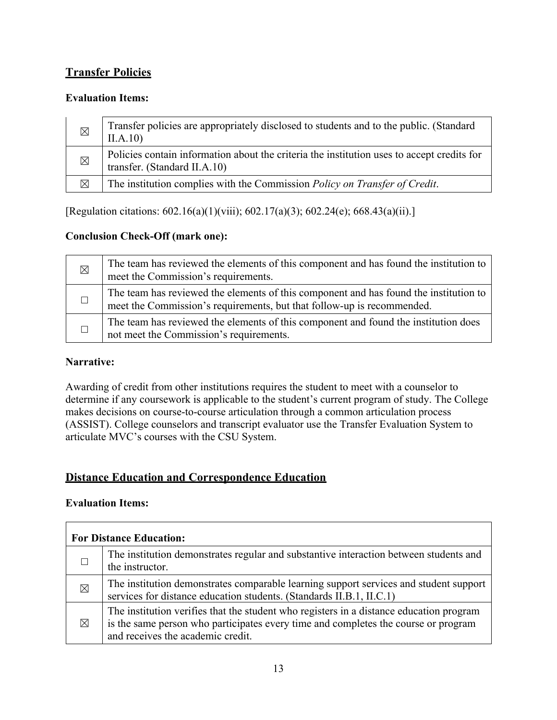# **Transfer Policies**

## **Evaluation Items:**

| $\boxtimes$ | Transfer policies are appropriately disclosed to students and to the public. (Standard<br>II.A.10                          |
|-------------|----------------------------------------------------------------------------------------------------------------------------|
| $\boxtimes$ | Policies contain information about the criteria the institution uses to accept credits for<br>transfer. (Standard II.A.10) |
| $\boxtimes$ | The institution complies with the Commission Policy on Transfer of Credit.                                                 |

[Regulation citations: 602.16(a)(1)(viii); 602.17(a)(3); 602.24(e); 668.43(a)(ii).]

## **Conclusion Check-Off (mark one):**

| ⊠ | The team has reviewed the elements of this component and has found the institution to<br>meet the Commission's requirements.                                    |
|---|-----------------------------------------------------------------------------------------------------------------------------------------------------------------|
|   | The team has reviewed the elements of this component and has found the institution to<br>meet the Commission's requirements, but that follow-up is recommended. |
|   | The team has reviewed the elements of this component and found the institution does<br>not meet the Commission's requirements.                                  |

## **Narrative:**

Awarding of credit from other institutions requires the student to meet with a counselor to determine if any coursework is applicable to the student's current program of study. The College makes decisions on course-to-course articulation through a common articulation process (ASSIST). College counselors and transcript evaluator use the Transfer Evaluation System to articulate MVC's courses with the CSU System.

# **Distance Education and Correspondence Education**

## **Evaluation Items:**

| <b>For Distance Education:</b> |                                                                                                                                                                                                                    |  |
|--------------------------------|--------------------------------------------------------------------------------------------------------------------------------------------------------------------------------------------------------------------|--|
|                                | The institution demonstrates regular and substantive interaction between students and<br>the instructor.                                                                                                           |  |
| $\times$                       | The institution demonstrates comparable learning support services and student support<br>services for distance education students. (Standards II.B.1, II.C.1)                                                      |  |
| $\boxtimes$                    | The institution verifies that the student who registers in a distance education program<br>is the same person who participates every time and completes the course or program<br>and receives the academic credit. |  |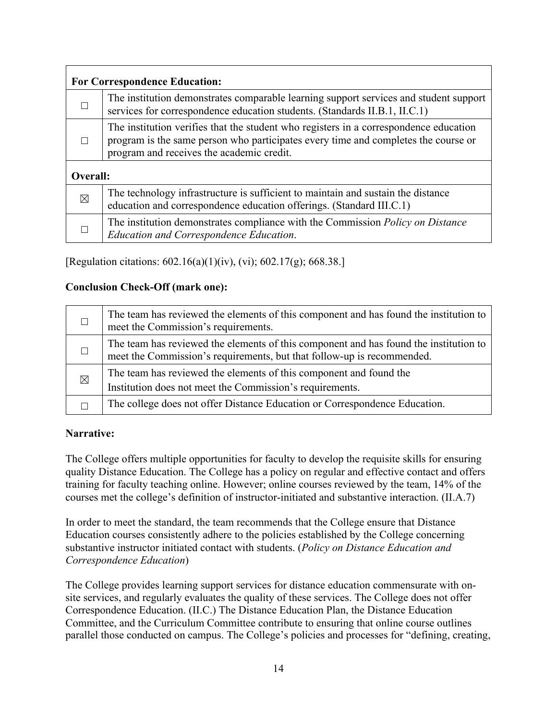| <b>For Correspondence Education:</b> |                                                                                                                                                                                                                          |  |
|--------------------------------------|--------------------------------------------------------------------------------------------------------------------------------------------------------------------------------------------------------------------------|--|
|                                      | The institution demonstrates comparable learning support services and student support<br>services for correspondence education students. (Standards II.B.1, II.C.1)                                                      |  |
|                                      | The institution verifies that the student who registers in a correspondence education<br>program is the same person who participates every time and completes the course or<br>program and receives the academic credit. |  |
| Overall:                             |                                                                                                                                                                                                                          |  |
| $\boxtimes$                          | The technology infrastructure is sufficient to maintain and sustain the distance<br>education and correspondence education offerings. (Standard III.C.1)                                                                 |  |
|                                      | The institution demonstrates compliance with the Commission <i>Policy on Distance</i><br><b>Education and Correspondence Education.</b>                                                                                  |  |

[Regulation citations: 602.16(a)(1)(iv), (vi); 602.17(g); 668.38.]

## **Conclusion Check-Off (mark one):**

|             | The team has reviewed the elements of this component and has found the institution to<br>meet the Commission's requirements.                                    |
|-------------|-----------------------------------------------------------------------------------------------------------------------------------------------------------------|
|             | The team has reviewed the elements of this component and has found the institution to<br>meet the Commission's requirements, but that follow-up is recommended. |
| $\boxtimes$ | The team has reviewed the elements of this component and found the<br>Institution does not meet the Commission's requirements.                                  |
|             | The college does not offer Distance Education or Correspondence Education.                                                                                      |

## **Narrative:**

The College offers multiple opportunities for faculty to develop the requisite skills for ensuring quality Distance Education. The College has a policy on regular and effective contact and offers training for faculty teaching online. However; online courses reviewed by the team, 14% of the courses met the college's definition of instructor-initiated and substantive interaction. (II.A.7)

In order to meet the standard, the team recommends that the College ensure that Distance Education courses consistently adhere to the policies established by the College concerning substantive instructor initiated contact with students. (*Policy on Distance Education and Correspondence Education*)

The College provides learning support services for distance education commensurate with onsite services, and regularly evaluates the quality of these services. The College does not offer Correspondence Education. (II.C.) The Distance Education Plan, the Distance Education Committee, and the Curriculum Committee contribute to ensuring that online course outlines parallel those conducted on campus. The College's policies and processes for "defining, creating,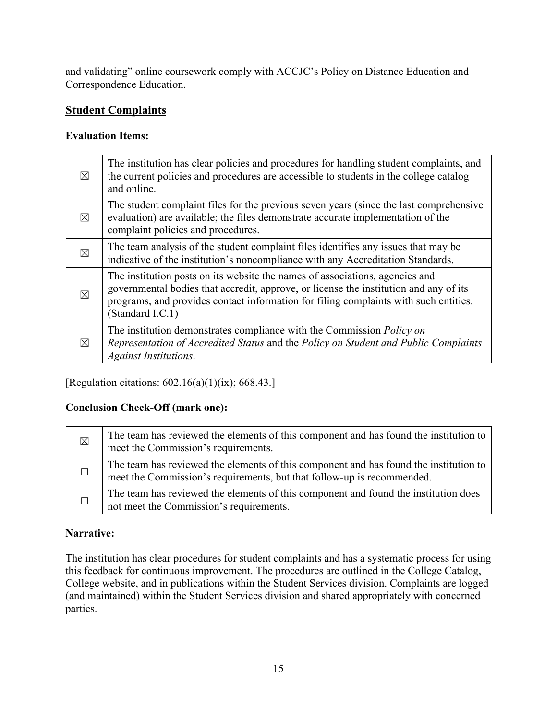and validating" online coursework comply with ACCJC's Policy on Distance Education and Correspondence Education.

# **Student Complaints**

## **Evaluation Items:**

| $\boxtimes$ | The institution has clear policies and procedures for handling student complaints, and<br>the current policies and procedures are accessible to students in the college catalog<br>and online.                                                                                    |
|-------------|-----------------------------------------------------------------------------------------------------------------------------------------------------------------------------------------------------------------------------------------------------------------------------------|
| $\boxtimes$ | The student complaint files for the previous seven years (since the last comprehensive<br>evaluation) are available; the files demonstrate accurate implementation of the<br>complaint policies and procedures.                                                                   |
| $\boxtimes$ | The team analysis of the student complaint files identifies any issues that may be<br>indicative of the institution's noncompliance with any Accreditation Standards.                                                                                                             |
| ⊠           | The institution posts on its website the names of associations, agencies and<br>governmental bodies that accredit, approve, or license the institution and any of its<br>programs, and provides contact information for filing complaints with such entities.<br>(Standard I.C.1) |
| $\boxtimes$ | The institution demonstrates compliance with the Commission <i>Policy on</i><br>Representation of Accredited Status and the Policy on Student and Public Complaints<br><b>Against Institutions.</b>                                                                               |

[Regulation citations: 602.16(a)(1)(ix); 668.43.]

# **Conclusion Check-Off (mark one):**

| $\boxtimes$ | The team has reviewed the elements of this component and has found the institution to<br>meet the Commission's requirements.                                    |
|-------------|-----------------------------------------------------------------------------------------------------------------------------------------------------------------|
|             | The team has reviewed the elements of this component and has found the institution to<br>meet the Commission's requirements, but that follow-up is recommended. |
|             | The team has reviewed the elements of this component and found the institution does<br>not meet the Commission's requirements.                                  |

# **Narrative:**

The institution has clear procedures for student complaints and has a systematic process for using this feedback for continuous improvement. The procedures are outlined in the College Catalog, College website, and in publications within the Student Services division. Complaints are logged (and maintained) within the Student Services division and shared appropriately with concerned parties.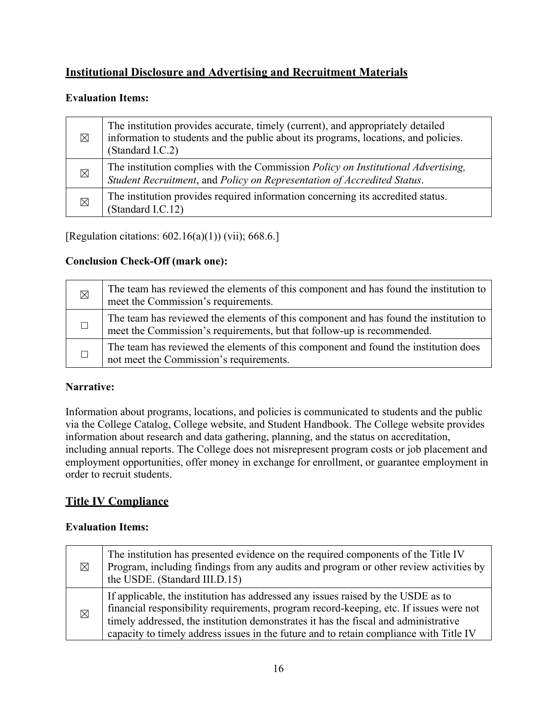# **Institutional Disclosure and Advertising and Recruitment Materials**

## **Evaluation Items:**

| $\boxtimes$ | The institution provides accurate, timely (current), and appropriately detailed<br>information to students and the public about its programs, locations, and policies.<br>(Standard I.C.2) |
|-------------|--------------------------------------------------------------------------------------------------------------------------------------------------------------------------------------------|
| $\boxtimes$ | The institution complies with the Commission Policy on Institutional Advertising,<br>Student Recruitment, and Policy on Representation of Accredited Status.                               |
| $\times$    | The institution provides required information concerning its accredited status.<br>(Standard I.C.12)                                                                                       |

[Regulation citations: 602.16(a)(1)) (vii); 668.6.]

## **Conclusion Check-Off (mark one):**

| $\boxtimes$ | The team has reviewed the elements of this component and has found the institution to<br>meet the Commission's requirements.                                    |
|-------------|-----------------------------------------------------------------------------------------------------------------------------------------------------------------|
|             | The team has reviewed the elements of this component and has found the institution to<br>meet the Commission's requirements, but that follow-up is recommended. |
|             | The team has reviewed the elements of this component and found the institution does<br>not meet the Commission's requirements.                                  |

## **Narrative:**

Information about programs, locations, and policies is communicated to students and the public via the College Catalog, College website, and Student Handbook. The College website provides information about research and data gathering, planning, and the status on accreditation, including annual reports. The College does not misrepresent program costs or job placement and employment opportunities, offer money in exchange for enrollment, or guarantee employment in order to recruit students.

# **Title IV Compliance**

## **Evaluation Items:**

| $\boxtimes$ | The institution has presented evidence on the required components of the Title IV<br>Program, including findings from any audits and program or other review activities by<br>the USDE. (Standard III.D.15)                                                                                                                                                 |
|-------------|-------------------------------------------------------------------------------------------------------------------------------------------------------------------------------------------------------------------------------------------------------------------------------------------------------------------------------------------------------------|
| $\times$    | If applicable, the institution has addressed any issues raised by the USDE as to<br>financial responsibility requirements, program record-keeping, etc. If issues were not<br>timely addressed, the institution demonstrates it has the fiscal and administrative<br>capacity to timely address issues in the future and to retain compliance with Title IV |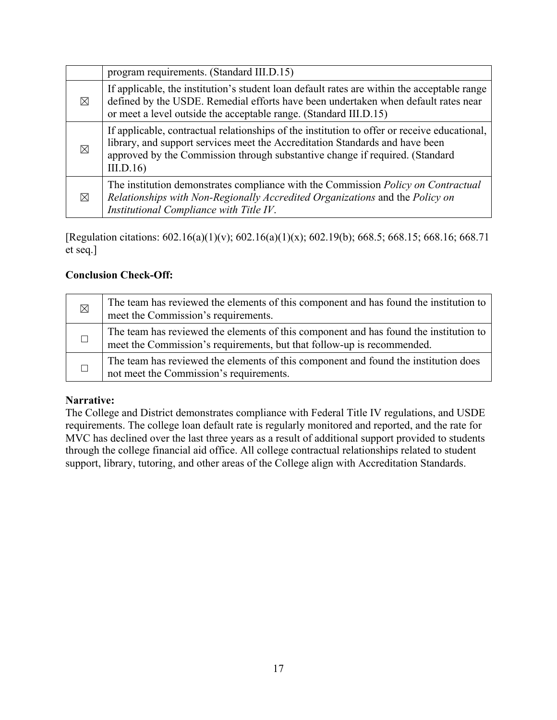|             | program requirements. (Standard III.D.15)                                                                                                                                                                                                                                |
|-------------|--------------------------------------------------------------------------------------------------------------------------------------------------------------------------------------------------------------------------------------------------------------------------|
| $\boxtimes$ | If applicable, the institution's student loan default rates are within the acceptable range<br>defined by the USDE. Remedial efforts have been undertaken when default rates near<br>or meet a level outside the acceptable range. (Standard III.D.15)                   |
| $\boxtimes$ | If applicable, contractual relationships of the institution to offer or receive educational,<br>library, and support services meet the Accreditation Standards and have been<br>approved by the Commission through substantive change if required. (Standard<br>III.D.16 |
| $\boxtimes$ | The institution demonstrates compliance with the Commission Policy on Contractual<br>Relationships with Non-Regionally Accredited Organizations and the Policy on<br>Institutional Compliance with Title IV.                                                             |

[Regulation citations: 602.16(a)(1)(v); 602.16(a)(1)(x); 602.19(b); 668.5; 668.15; 668.16; 668.71 et seq.]

## **Conclusion Check-Off:**

| $\boxtimes$ | The team has reviewed the elements of this component and has found the institution to<br>meet the Commission's requirements.                                    |
|-------------|-----------------------------------------------------------------------------------------------------------------------------------------------------------------|
|             | The team has reviewed the elements of this component and has found the institution to<br>meet the Commission's requirements, but that follow-up is recommended. |
|             | The team has reviewed the elements of this component and found the institution does<br>not meet the Commission's requirements.                                  |

## **Narrative:**

The College and District demonstrates compliance with Federal Title IV regulations, and USDE requirements. The college loan default rate is regularly monitored and reported, and the rate for MVC has declined over the last three years as a result of additional support provided to students through the college financial aid office. All college contractual relationships related to student support, library, tutoring, and other areas of the College align with Accreditation Standards.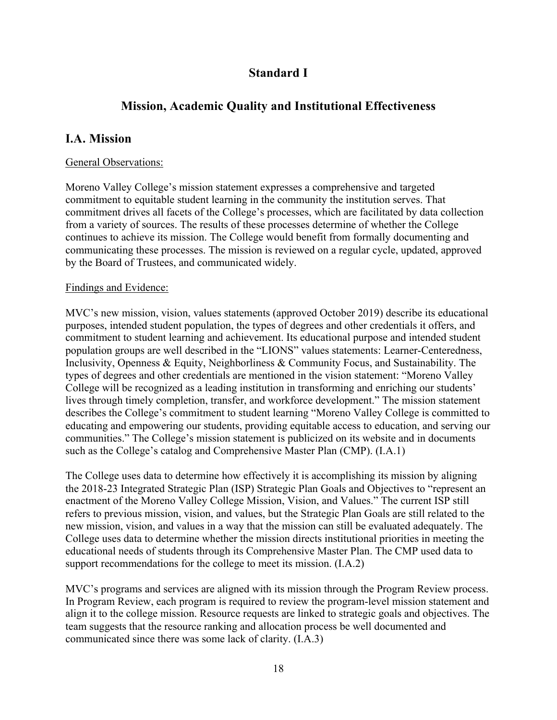# **Standard I**

# **Mission, Academic Quality and Institutional Effectiveness**

# **I.A. Mission**

## General Observations:

Moreno Valley College's mission statement expresses a comprehensive and targeted commitment to equitable student learning in the community the institution serves. That commitment drives all facets of the College's processes, which are facilitated by data collection from a variety of sources. The results of these processes determine of whether the College continues to achieve its mission. The College would benefit from formally documenting and communicating these processes. The mission is reviewed on a regular cycle, updated, approved by the Board of Trustees, and communicated widely.

## Findings and Evidence:

MVC's new mission, vision, values statements (approved October 2019) describe its educational purposes, intended student population, the types of degrees and other credentials it offers, and commitment to student learning and achievement. Its educational purpose and intended student population groups are well described in the "LIONS" values statements: Learner-Centeredness, Inclusivity, Openness & Equity, Neighborliness & Community Focus, and Sustainability. The types of degrees and other credentials are mentioned in the vision statement: "Moreno Valley College will be recognized as a leading institution in transforming and enriching our students' lives through timely completion, transfer, and workforce development." The mission statement describes the College's commitment to student learning "Moreno Valley College is committed to educating and empowering our students, providing equitable access to education, and serving our communities." The College's mission statement is publicized on its website and in documents such as the College's catalog and Comprehensive Master Plan (CMP). (I.A.1)

The College uses data to determine how effectively it is accomplishing its mission by aligning the 2018-23 Integrated Strategic Plan (ISP) Strategic Plan Goals and Objectives to "represent an enactment of the Moreno Valley College Mission, Vision, and Values." The current ISP still refers to previous mission, vision, and values, but the Strategic Plan Goals are still related to the new mission, vision, and values in a way that the mission can still be evaluated adequately. The College uses data to determine whether the mission directs institutional priorities in meeting the educational needs of students through its Comprehensive Master Plan. The CMP used data to support recommendations for the college to meet its mission. (I.A.2)

MVC's programs and services are aligned with its mission through the Program Review process. In Program Review, each program is required to review the program-level mission statement and align it to the college mission. Resource requests are linked to strategic goals and objectives. The team suggests that the resource ranking and allocation process be well documented and communicated since there was some lack of clarity. (I.A.3)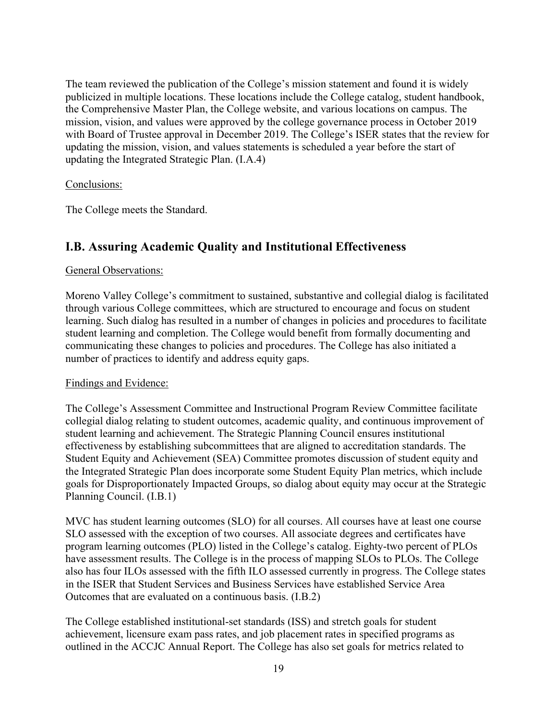The team reviewed the publication of the College's mission statement and found it is widely publicized in multiple locations. These locations include the College catalog, student handbook, the Comprehensive Master Plan, the College website, and various locations on campus. The mission, vision, and values were approved by the college governance process in October 2019 with Board of Trustee approval in December 2019. The College's ISER states that the review for updating the mission, vision, and values statements is scheduled a year before the start of updating the Integrated Strategic Plan. (I.A.4)

## Conclusions:

The College meets the Standard.

# **I.B. Assuring Academic Quality and Institutional Effectiveness**

#### General Observations:

Moreno Valley College's commitment to sustained, substantive and collegial dialog is facilitated through various College committees, which are structured to encourage and focus on student learning. Such dialog has resulted in a number of changes in policies and procedures to facilitate student learning and completion. The College would benefit from formally documenting and communicating these changes to policies and procedures. The College has also initiated a number of practices to identify and address equity gaps.

#### Findings and Evidence:

The College's Assessment Committee and Instructional Program Review Committee facilitate collegial dialog relating to student outcomes, academic quality, and continuous improvement of student learning and achievement. The Strategic Planning Council ensures institutional effectiveness by establishing subcommittees that are aligned to accreditation standards. The Student Equity and Achievement (SEA) Committee promotes discussion of student equity and the Integrated Strategic Plan does incorporate some Student Equity Plan metrics, which include goals for Disproportionately Impacted Groups, so dialog about equity may occur at the Strategic Planning Council. (I.B.1)

MVC has student learning outcomes (SLO) for all courses. All courses have at least one course SLO assessed with the exception of two courses. All associate degrees and certificates have program learning outcomes (PLO) listed in the College's catalog. Eighty-two percent of PLOs have assessment results. The College is in the process of mapping SLOs to PLOs. The College also has four ILOs assessed with the fifth ILO assessed currently in progress. The College states in the ISER that Student Services and Business Services have established Service Area Outcomes that are evaluated on a continuous basis. (I.B.2)

The College established institutional-set standards (ISS) and stretch goals for student achievement, licensure exam pass rates, and job placement rates in specified programs as outlined in the ACCJC Annual Report. The College has also set goals for metrics related to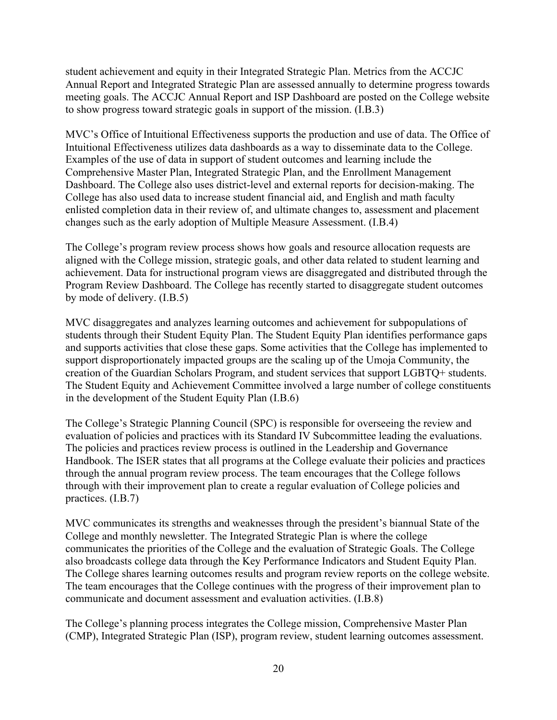student achievement and equity in their Integrated Strategic Plan. Metrics from the ACCJC Annual Report and Integrated Strategic Plan are assessed annually to determine progress towards meeting goals. The ACCJC Annual Report and ISP Dashboard are posted on the College website to show progress toward strategic goals in support of the mission. (I.B.3)

MVC's Office of Intuitional Effectiveness supports the production and use of data. The Office of Intuitional Effectiveness utilizes data dashboards as a way to disseminate data to the College. Examples of the use of data in support of student outcomes and learning include the Comprehensive Master Plan, Integrated Strategic Plan, and the Enrollment Management Dashboard. The College also uses district-level and external reports for decision-making. The College has also used data to increase student financial aid, and English and math faculty enlisted completion data in their review of, and ultimate changes to, assessment and placement changes such as the early adoption of Multiple Measure Assessment. (I.B.4)

The College's program review process shows how goals and resource allocation requests are aligned with the College mission, strategic goals, and other data related to student learning and achievement. Data for instructional program views are disaggregated and distributed through the Program Review Dashboard. The College has recently started to disaggregate student outcomes by mode of delivery. (I.B.5)

MVC disaggregates and analyzes learning outcomes and achievement for subpopulations of students through their Student Equity Plan. The Student Equity Plan identifies performance gaps and supports activities that close these gaps. Some activities that the College has implemented to support disproportionately impacted groups are the scaling up of the Umoja Community, the creation of the Guardian Scholars Program, and student services that support LGBTQ+ students. The Student Equity and Achievement Committee involved a large number of college constituents in the development of the Student Equity Plan (I.B.6)

The College's Strategic Planning Council (SPC) is responsible for overseeing the review and evaluation of policies and practices with its Standard IV Subcommittee leading the evaluations. The policies and practices review process is outlined in the Leadership and Governance Handbook. The ISER states that all programs at the College evaluate their policies and practices through the annual program review process. The team encourages that the College follows through with their improvement plan to create a regular evaluation of College policies and practices. (I.B.7)

MVC communicates its strengths and weaknesses through the president's biannual State of the College and monthly newsletter. The Integrated Strategic Plan is where the college communicates the priorities of the College and the evaluation of Strategic Goals. The College also broadcasts college data through the Key Performance Indicators and Student Equity Plan. The College shares learning outcomes results and program review reports on the college website. The team encourages that the College continues with the progress of their improvement plan to communicate and document assessment and evaluation activities. (I.B.8)

The College's planning process integrates the College mission, Comprehensive Master Plan (CMP), Integrated Strategic Plan (ISP), program review, student learning outcomes assessment.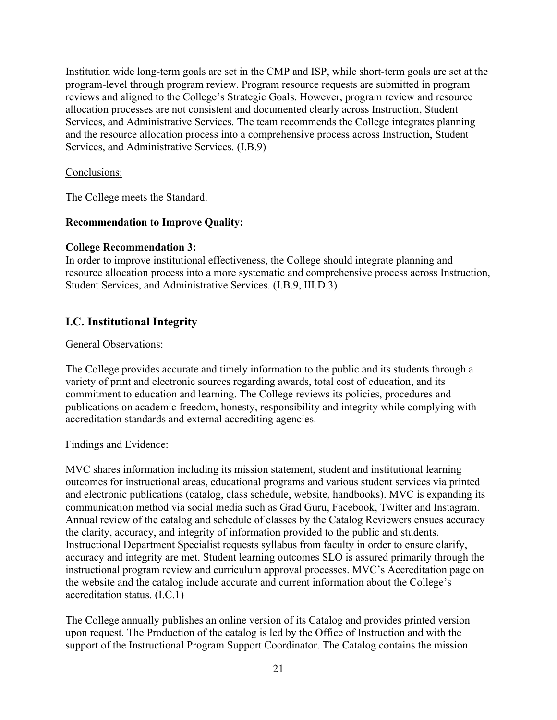Institution wide long-term goals are set in the CMP and ISP, while short-term goals are set at the program-level through program review. Program resource requests are submitted in program reviews and aligned to the College's Strategic Goals. However, program review and resource allocation processes are not consistent and documented clearly across Instruction, Student Services, and Administrative Services. The team recommends the College integrates planning and the resource allocation process into a comprehensive process across Instruction, Student Services, and Administrative Services. (I.B.9)

## Conclusions:

The College meets the Standard.

## **Recommendation to Improve Quality:**

## **College Recommendation 3:**

In order to improve institutional effectiveness, the College should integrate planning and resource allocation process into a more systematic and comprehensive process across Instruction, Student Services, and Administrative Services. (I.B.9, III.D.3)

# **I.C. Institutional Integrity**

#### General Observations:

The College provides accurate and timely information to the public and its students through a variety of print and electronic sources regarding awards, total cost of education, and its commitment to education and learning. The College reviews its policies, procedures and publications on academic freedom, honesty, responsibility and integrity while complying with accreditation standards and external accrediting agencies.

#### Findings and Evidence:

MVC shares information including its mission statement, student and institutional learning outcomes for instructional areas, educational programs and various student services via printed and electronic publications (catalog, class schedule, website, handbooks). MVC is expanding its communication method via social media such as Grad Guru, Facebook, Twitter and Instagram. Annual review of the catalog and schedule of classes by the Catalog Reviewers ensues accuracy the clarity, accuracy, and integrity of information provided to the public and students. Instructional Department Specialist requests syllabus from faculty in order to ensure clarify, accuracy and integrity are met. Student learning outcomes SLO is assured primarily through the instructional program review and curriculum approval processes. MVC's Accreditation page on the website and the catalog include accurate and current information about the College's accreditation status. (I.C.1)

The College annually publishes an online version of its Catalog and provides printed version upon request. The Production of the catalog is led by the Office of Instruction and with the support of the Instructional Program Support Coordinator. The Catalog contains the mission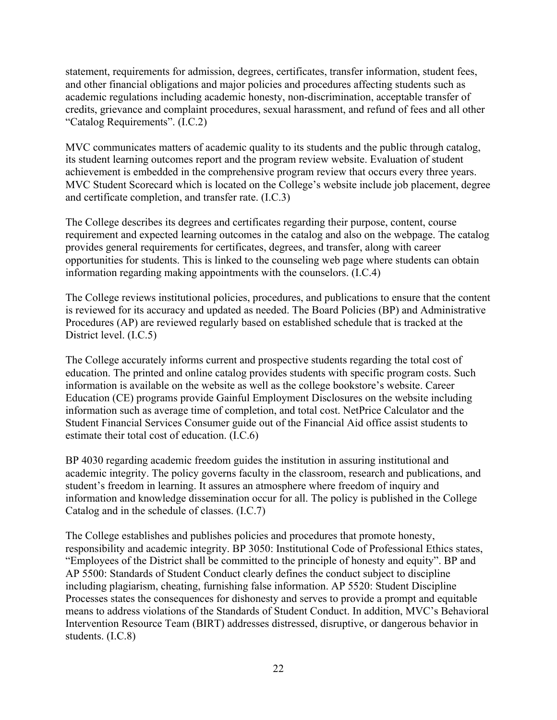statement, requirements for admission, degrees, certificates, transfer information, student fees, and other financial obligations and major policies and procedures affecting students such as academic regulations including academic honesty, non-discrimination, acceptable transfer of credits, grievance and complaint procedures, sexual harassment, and refund of fees and all other "Catalog Requirements". (I.C.2)

MVC communicates matters of academic quality to its students and the public through catalog, its student learning outcomes report and the program review website. Evaluation of student achievement is embedded in the comprehensive program review that occurs every three years. MVC Student Scorecard which is located on the College's website include job placement, degree and certificate completion, and transfer rate. (I.C.3)

The College describes its degrees and certificates regarding their purpose, content, course requirement and expected learning outcomes in the catalog and also on the webpage. The catalog provides general requirements for certificates, degrees, and transfer, along with career opportunities for students. This is linked to the counseling web page where students can obtain information regarding making appointments with the counselors. (I.C.4)

The College reviews institutional policies, procedures, and publications to ensure that the content is reviewed for its accuracy and updated as needed. The Board Policies (BP) and Administrative Procedures (AP) are reviewed regularly based on established schedule that is tracked at the District level. (I.C.5)

The College accurately informs current and prospective students regarding the total cost of education. The printed and online catalog provides students with specific program costs. Such information is available on the website as well as the college bookstore's website. Career Education (CE) programs provide Gainful Employment Disclosures on the website including information such as average time of completion, and total cost. NetPrice Calculator and the Student Financial Services Consumer guide out of the Financial Aid office assist students to estimate their total cost of education. (I.C.6)

BP 4030 regarding academic freedom guides the institution in assuring institutional and academic integrity. The policy governs faculty in the classroom, research and publications, and student's freedom in learning. It assures an atmosphere where freedom of inquiry and information and knowledge dissemination occur for all. The policy is published in the College Catalog and in the schedule of classes. (I.C.7)

The College establishes and publishes policies and procedures that promote honesty, responsibility and academic integrity. BP 3050: Institutional Code of Professional Ethics states, "Employees of the District shall be committed to the principle of honesty and equity". BP and AP 5500: Standards of Student Conduct clearly defines the conduct subject to discipline including plagiarism, cheating, furnishing false information. AP 5520: Student Discipline Processes states the consequences for dishonesty and serves to provide a prompt and equitable means to address violations of the Standards of Student Conduct. In addition, MVC's Behavioral Intervention Resource Team (BIRT) addresses distressed, disruptive, or dangerous behavior in students. (I.C.8)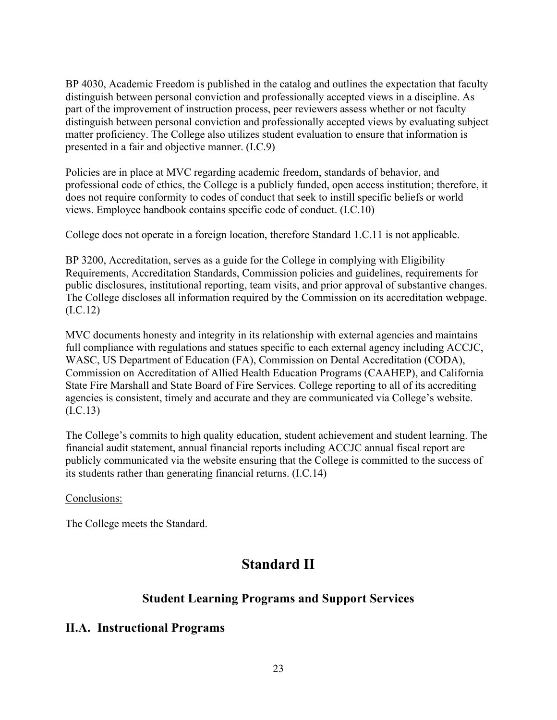BP 4030, Academic Freedom is published in the catalog and outlines the expectation that faculty distinguish between personal conviction and professionally accepted views in a discipline. As part of the improvement of instruction process, peer reviewers assess whether or not faculty distinguish between personal conviction and professionally accepted views by evaluating subject matter proficiency. The College also utilizes student evaluation to ensure that information is presented in a fair and objective manner. (I.C.9)

Policies are in place at MVC regarding academic freedom, standards of behavior, and professional code of ethics, the College is a publicly funded, open access institution; therefore, it does not require conformity to codes of conduct that seek to instill specific beliefs or world views. Employee handbook contains specific code of conduct. (I.C.10)

College does not operate in a foreign location, therefore Standard 1.C.11 is not applicable.

BP 3200, Accreditation, serves as a guide for the College in complying with Eligibility Requirements, Accreditation Standards, Commission policies and guidelines, requirements for public disclosures, institutional reporting, team visits, and prior approval of substantive changes. The College discloses all information required by the Commission on its accreditation webpage. (I.C.12)

MVC documents honesty and integrity in its relationship with external agencies and maintains full compliance with regulations and statues specific to each external agency including ACCJC, WASC, US Department of Education (FA), Commission on Dental Accreditation (CODA), Commission on Accreditation of Allied Health Education Programs (CAAHEP), and California State Fire Marshall and State Board of Fire Services. College reporting to all of its accrediting agencies is consistent, timely and accurate and they are communicated via College's website. (I.C.13)

The College's commits to high quality education, student achievement and student learning. The financial audit statement, annual financial reports including ACCJC annual fiscal report are publicly communicated via the website ensuring that the College is committed to the success of its students rather than generating financial returns. (I.C.14)

#### Conclusions:

The College meets the Standard.

# **Standard II**

# **Student Learning Programs and Support Services**

## **II.A. Instructional Programs**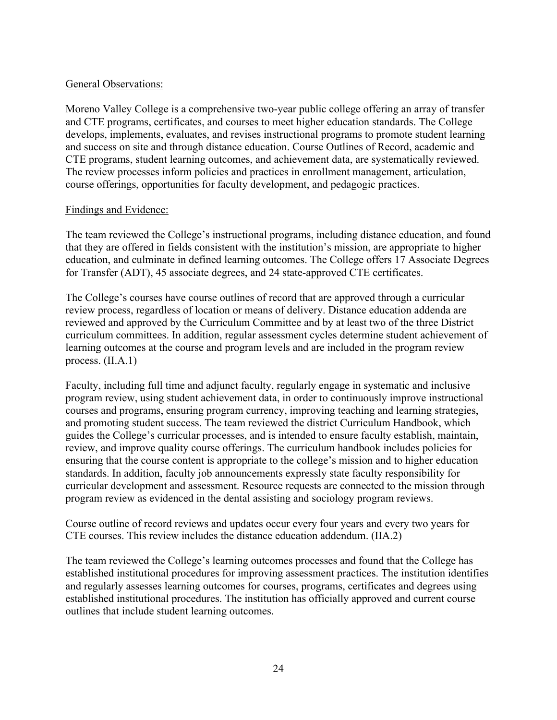#### General Observations:

Moreno Valley College is a comprehensive two-year public college offering an array of transfer and CTE programs, certificates, and courses to meet higher education standards. The College develops, implements, evaluates, and revises instructional programs to promote student learning and success on site and through distance education. Course Outlines of Record, academic and CTE programs, student learning outcomes, and achievement data, are systematically reviewed. The review processes inform policies and practices in enrollment management, articulation, course offerings, opportunities for faculty development, and pedagogic practices.

## Findings and Evidence:

The team reviewed the College's instructional programs, including distance education, and found that they are offered in fields consistent with the institution's mission, are appropriate to higher education, and culminate in defined learning outcomes. The College offers 17 Associate Degrees for Transfer (ADT), 45 associate degrees, and 24 state-approved CTE certificates.

The College's courses have course outlines of record that are approved through a curricular review process, regardless of location or means of delivery. Distance education addenda are reviewed and approved by the Curriculum Committee and by at least two of the three District curriculum committees. In addition, regular assessment cycles determine student achievement of learning outcomes at the course and program levels and are included in the program review process. (II.A.1)

Faculty, including full time and adjunct faculty, regularly engage in systematic and inclusive program review, using student achievement data, in order to continuously improve instructional courses and programs, ensuring program currency, improving teaching and learning strategies, and promoting student success. The team reviewed the district Curriculum Handbook, which guides the College's curricular processes, and is intended to ensure faculty establish, maintain, review, and improve quality course offerings. The curriculum handbook includes policies for ensuring that the course content is appropriate to the college's mission and to higher education standards. In addition, faculty job announcements expressly state faculty responsibility for curricular development and assessment. Resource requests are connected to the mission through program review as evidenced in the dental assisting and sociology program reviews.

Course outline of record reviews and updates occur every four years and every two years for CTE courses. This review includes the distance education addendum. (IIA.2)

The team reviewed the College's learning outcomes processes and found that the College has established institutional procedures for improving assessment practices. The institution identifies and regularly assesses learning outcomes for courses, programs, certificates and degrees using established institutional procedures. The institution has officially approved and current course outlines that include student learning outcomes.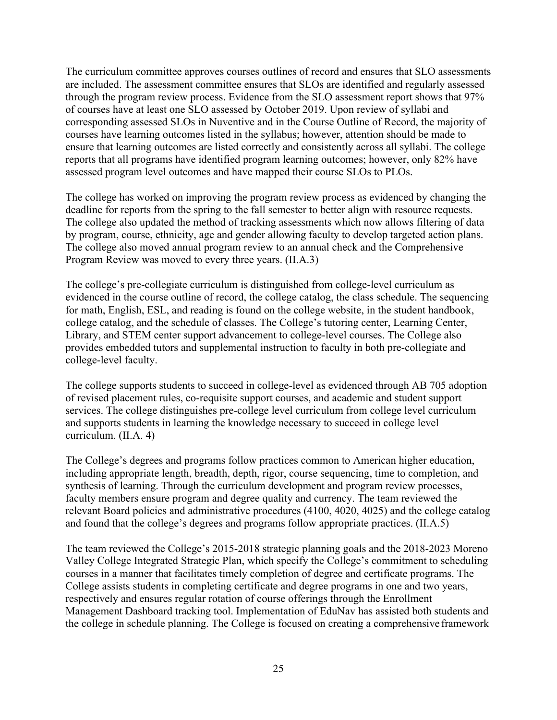The curriculum committee approves courses outlines of record and ensures that SLO assessments are included. The assessment committee ensures that SLOs are identified and regularly assessed through the program review process. Evidence from the SLO assessment report shows that 97% of courses have at least one SLO assessed by October 2019. Upon review of syllabi and corresponding assessed SLOs in Nuventive and in the Course Outline of Record, the majority of courses have learning outcomes listed in the syllabus; however, attention should be made to ensure that learning outcomes are listed correctly and consistently across all syllabi. The college reports that all programs have identified program learning outcomes; however, only 82% have assessed program level outcomes and have mapped their course SLOs to PLOs.

The college has worked on improving the program review process as evidenced by changing the deadline for reports from the spring to the fall semester to better align with resource requests. The college also updated the method of tracking assessments which now allows filtering of data by program, course, ethnicity, age and gender allowing faculty to develop targeted action plans. The college also moved annual program review to an annual check and the Comprehensive Program Review was moved to every three years. (II.A.3)

The college's pre-collegiate curriculum is distinguished from college-level curriculum as evidenced in the course outline of record, the college catalog, the class schedule. The sequencing for math, English, ESL, and reading is found on the college website, in the student handbook, college catalog, and the schedule of classes. The College's tutoring center, Learning Center, Library, and STEM center support advancement to college-level courses. The College also provides embedded tutors and supplemental instruction to faculty in both pre-collegiate and college-level faculty.

The college supports students to succeed in college-level as evidenced through AB 705 adoption of revised placement rules, co-requisite support courses, and academic and student support services. The college distinguishes pre-college level curriculum from college level curriculum and supports students in learning the knowledge necessary to succeed in college level curriculum. (II.A. 4)

The College's degrees and programs follow practices common to American higher education, including appropriate length, breadth, depth, rigor, course sequencing, time to completion, and synthesis of learning. Through the curriculum development and program review processes, faculty members ensure program and degree quality and currency. The team reviewed the relevant Board policies and administrative procedures (4100, 4020, 4025) and the college catalog and found that the college's degrees and programs follow appropriate practices. (II.A.5)

The team reviewed the College's 2015-2018 strategic planning goals and the 2018-2023 Moreno Valley College Integrated Strategic Plan, which specify the College's commitment to scheduling courses in a manner that facilitates timely completion of degree and certificate programs. The College assists students in completing certificate and degree programs in one and two years, respectively and ensures regular rotation of course offerings through the Enrollment Management Dashboard tracking tool. Implementation of EduNav has assisted both students and the college in schedule planning. The College is focused on creating a comprehensive framework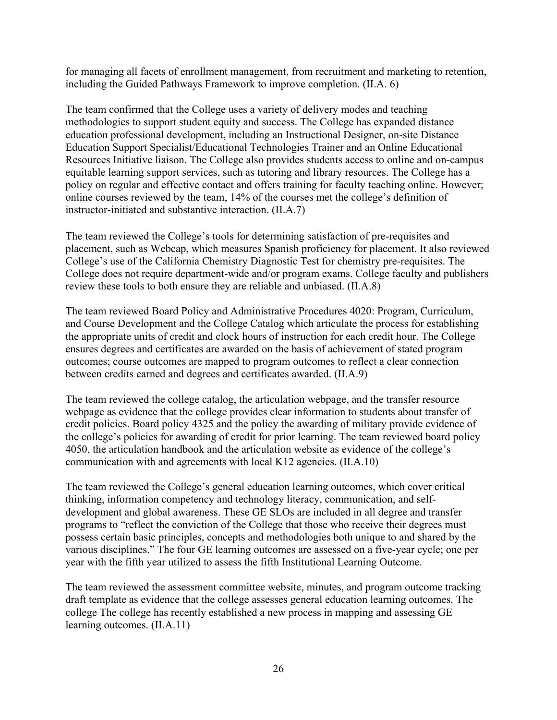for managing all facets of enrollment management, from recruitment and marketing to retention, including the Guided Pathways Framework to improve completion. (II.A. 6)

The team confirmed that the College uses a variety of delivery modes and teaching methodologies to support student equity and success. The College has expanded distance education professional development, including an Instructional Designer, on-site Distance Education Support Specialist/Educational Technologies Trainer and an Online Educational Resources Initiative liaison. The College also provides students access to online and on-campus equitable learning support services, such as tutoring and library resources. The College has a policy on regular and effective contact and offers training for faculty teaching online. However; online courses reviewed by the team, 14% of the courses met the college's definition of instructor-initiated and substantive interaction. (II.A.7)

The team reviewed the College's tools for determining satisfaction of pre-requisites and placement, such as Webcap, which measures Spanish proficiency for placement. It also reviewed College's use of the California Chemistry Diagnostic Test for chemistry pre-requisites. The College does not require department-wide and/or program exams. College faculty and publishers review these tools to both ensure they are reliable and unbiased. (II.A.8)

The team reviewed Board Policy and Administrative Procedures 4020: Program, Curriculum, and Course Development and the College Catalog which articulate the process for establishing the appropriate units of credit and clock hours of instruction for each credit hour. The College ensures degrees and certificates are awarded on the basis of achievement of stated program outcomes; course outcomes are mapped to program outcomes to reflect a clear connection between credits earned and degrees and certificates awarded. (II.A.9)

The team reviewed the college catalog, the articulation webpage, and the transfer resource webpage as evidence that the college provides clear information to students about transfer of credit policies. Board policy 4325 and the policy the awarding of military provide evidence of the college's policies for awarding of credit for prior learning. The team reviewed board policy 4050, the articulation handbook and the articulation website as evidence of the college's communication with and agreements with local K12 agencies. (II.A.10)

The team reviewed the College's general education learning outcomes, which cover critical thinking, information competency and technology literacy, communication, and selfdevelopment and global awareness. These GE SLOs are included in all degree and transfer programs to "reflect the conviction of the College that those who receive their degrees must possess certain basic principles, concepts and methodologies both unique to and shared by the various disciplines." The four GE learning outcomes are assessed on a five-year cycle; one per year with the fifth year utilized to assess the fifth Institutional Learning Outcome.

The team reviewed the assessment committee website, minutes, and program outcome tracking draft template as evidence that the college assesses general education learning outcomes. The college The college has recently established a new process in mapping and assessing GE learning outcomes. (II.A.11)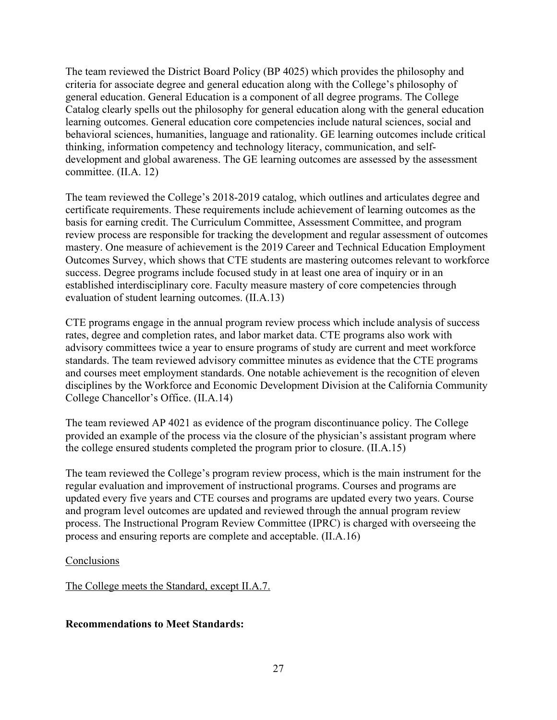The team reviewed the District Board Policy (BP 4025) which provides the philosophy and criteria for associate degree and general education along with the College's philosophy of general education. General Education is a component of all degree programs. The College Catalog clearly spells out the philosophy for general education along with the general education learning outcomes. General education core competencies include natural sciences, social and behavioral sciences, humanities, language and rationality. GE learning outcomes include critical thinking, information competency and technology literacy, communication, and selfdevelopment and global awareness. The GE learning outcomes are assessed by the assessment committee. (II.A. 12)

The team reviewed the College's 2018-2019 catalog, which outlines and articulates degree and certificate requirements. These requirements include achievement of learning outcomes as the basis for earning credit. The Curriculum Committee, Assessment Committee, and program review process are responsible for tracking the development and regular assessment of outcomes mastery. One measure of achievement is the 2019 Career and Technical Education Employment Outcomes Survey, which shows that CTE students are mastering outcomes relevant to workforce success. Degree programs include focused study in at least one area of inquiry or in an established interdisciplinary core. Faculty measure mastery of core competencies through evaluation of student learning outcomes. (II.A.13)

CTE programs engage in the annual program review process which include analysis of success rates, degree and completion rates, and labor market data. CTE programs also work with advisory committees twice a year to ensure programs of study are current and meet workforce standards. The team reviewed advisory committee minutes as evidence that the CTE programs and courses meet employment standards. One notable achievement is the recognition of eleven disciplines by the Workforce and Economic Development Division at the California Community College Chancellor's Office. (II.A.14)

The team reviewed AP 4021 as evidence of the program discontinuance policy. The College provided an example of the process via the closure of the physician's assistant program where the college ensured students completed the program prior to closure. (II.A.15)

The team reviewed the College's program review process, which is the main instrument for the regular evaluation and improvement of instructional programs. Courses and programs are updated every five years and CTE courses and programs are updated every two years. Course and program level outcomes are updated and reviewed through the annual program review process. The Instructional Program Review Committee (IPRC) is charged with overseeing the process and ensuring reports are complete and acceptable. (II.A.16)

#### **Conclusions**

The College meets the Standard, except II.A.7.

## **Recommendations to Meet Standards:**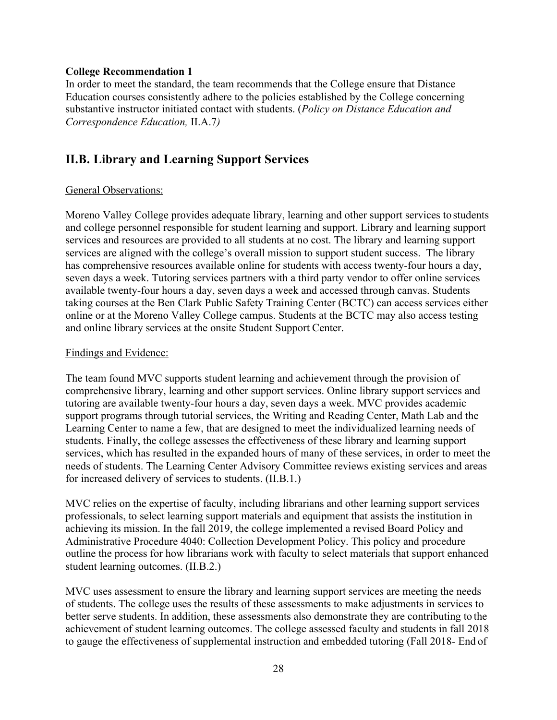#### **College Recommendation 1**

In order to meet the standard, the team recommends that the College ensure that Distance Education courses consistently adhere to the policies established by the College concerning substantive instructor initiated contact with students. (*Policy on Distance Education and Correspondence Education,* II.A.7*)*

# **II.B. Library and Learning Support Services**

#### General Observations:

Moreno Valley College provides adequate library, learning and other support services to students and college personnel responsible for student learning and support. Library and learning support services and resources are provided to all students at no cost. The library and learning support services are aligned with the college's overall mission to support student success. The library has comprehensive resources available online for students with access twenty-four hours a day, seven days a week. Tutoring services partners with a third party vendor to offer online services available twenty-four hours a day, seven days a week and accessed through canvas. Students taking courses at the Ben Clark Public Safety Training Center (BCTC) can access services either online or at the Moreno Valley College campus. Students at the BCTC may also access testing and online library services at the onsite Student Support Center.

#### Findings and Evidence:

The team found MVC supports student learning and achievement through the provision of comprehensive library, learning and other support services. Online library support services and tutoring are available twenty-four hours a day, seven days a week. MVC provides academic support programs through tutorial services, the Writing and Reading Center, Math Lab and the Learning Center to name a few, that are designed to meet the individualized learning needs of students. Finally, the college assesses the effectiveness of these library and learning support services, which has resulted in the expanded hours of many of these services, in order to meet the needs of students. The Learning Center Advisory Committee reviews existing services and areas for increased delivery of services to students. (II.B.1.)

MVC relies on the expertise of faculty, including librarians and other learning support services professionals, to select learning support materials and equipment that assists the institution in achieving its mission. In the fall 2019, the college implemented a revised Board Policy and Administrative Procedure 4040: Collection Development Policy. This policy and procedure outline the process for how librarians work with faculty to select materials that support enhanced student learning outcomes. (II.B.2.)

MVC uses assessment to ensure the library and learning support services are meeting the needs of students. The college uses the results of these assessments to make adjustments in services to better serve students. In addition, these assessments also demonstrate they are contributing to the achievement of student learning outcomes. The college assessed faculty and students in fall 2018 to gauge the effectiveness of supplemental instruction and embedded tutoring (Fall 2018- End of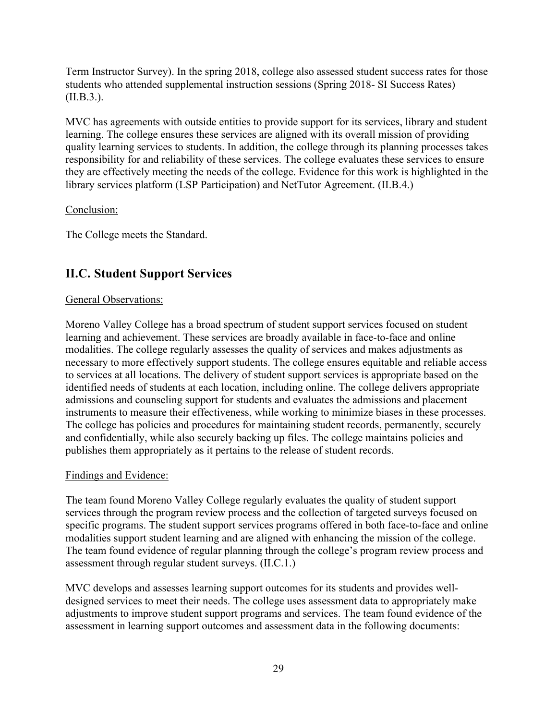Term Instructor Survey). In the spring 2018, college also assessed student success rates for those students who attended supplemental instruction sessions (Spring 2018- SI Success Rates) (II.B.3.).

MVC has agreements with outside entities to provide support for its services, library and student learning. The college ensures these services are aligned with its overall mission of providing quality learning services to students. In addition, the college through its planning processes takes responsibility for and reliability of these services. The college evaluates these services to ensure they are effectively meeting the needs of the college. Evidence for this work is highlighted in the library services platform (LSP Participation) and NetTutor Agreement. (II.B.4.)

## Conclusion:

The College meets the Standard.

# **II.C. Student Support Services**

#### General Observations:

Moreno Valley College has a broad spectrum of student support services focused on student learning and achievement. These services are broadly available in face-to-face and online modalities. The college regularly assesses the quality of services and makes adjustments as necessary to more effectively support students. The college ensures equitable and reliable access to services at all locations. The delivery of student support services is appropriate based on the identified needs of students at each location, including online. The college delivers appropriate admissions and counseling support for students and evaluates the admissions and placement instruments to measure their effectiveness, while working to minimize biases in these processes. The college has policies and procedures for maintaining student records, permanently, securely and confidentially, while also securely backing up files. The college maintains policies and publishes them appropriately as it pertains to the release of student records.

## Findings and Evidence:

The team found Moreno Valley College regularly evaluates the quality of student support services through the program review process and the collection of targeted surveys focused on specific programs. The student support services programs offered in both face-to-face and online modalities support student learning and are aligned with enhancing the mission of the college. The team found evidence of regular planning through the college's program review process and assessment through regular student surveys. (II.C.1.)

MVC develops and assesses learning support outcomes for its students and provides welldesigned services to meet their needs. The college uses assessment data to appropriately make adjustments to improve student support programs and services. The team found evidence of the assessment in learning support outcomes and assessment data in the following documents: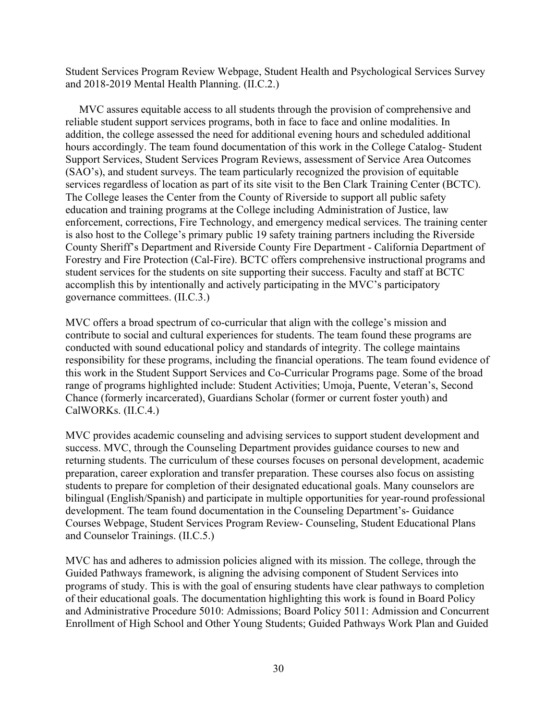Student Services Program Review Webpage, Student Health and Psychological Services Survey and 2018-2019 Mental Health Planning. (II.C.2.)

MVC assures equitable access to all students through the provision of comprehensive and reliable student support services programs, both in face to face and online modalities. In addition, the college assessed the need for additional evening hours and scheduled additional hours accordingly. The team found documentation of this work in the College Catalog- Student Support Services, Student Services Program Reviews, assessment of Service Area Outcomes (SAO's), and student surveys. The team particularly recognized the provision of equitable services regardless of location as part of its site visit to the Ben Clark Training Center (BCTC). The College leases the Center from the County of Riverside to support all public safety education and training programs at the College including Administration of Justice, law enforcement, corrections, Fire Technology, and emergency medical services. The training center is also host to the College's primary public 19 safety training partners including the Riverside County Sheriff's Department and Riverside County Fire Department - California Department of Forestry and Fire Protection (Cal-Fire). BCTC offers comprehensive instructional programs and student services for the students on site supporting their success. Faculty and staff at BCTC accomplish this by intentionally and actively participating in the MVC's participatory governance committees. (II.C.3.)

MVC offers a broad spectrum of co-curricular that align with the college's mission and contribute to social and cultural experiences for students. The team found these programs are conducted with sound educational policy and standards of integrity. The college maintains responsibility for these programs, including the financial operations. The team found evidence of this work in the Student Support Services and Co-Curricular Programs page. Some of the broad range of programs highlighted include: Student Activities; Umoja, Puente, Veteran's, Second Chance (formerly incarcerated), Guardians Scholar (former or current foster youth) and CalWORKs. (II.C.4.)

MVC provides academic counseling and advising services to support student development and success. MVC, through the Counseling Department provides guidance courses to new and returning students. The curriculum of these courses focuses on personal development, academic preparation, career exploration and transfer preparation. These courses also focus on assisting students to prepare for completion of their designated educational goals. Many counselors are bilingual (English/Spanish) and participate in multiple opportunities for year-round professional development. The team found documentation in the Counseling Department's- Guidance Courses Webpage, Student Services Program Review- Counseling, Student Educational Plans and Counselor Trainings. (II.C.5.)

MVC has and adheres to admission policies aligned with its mission. The college, through the Guided Pathways framework, is aligning the advising component of Student Services into programs of study. This is with the goal of ensuring students have clear pathways to completion of their educational goals. The documentation highlighting this work is found in Board Policy and Administrative Procedure 5010: Admissions; Board Policy 5011: Admission and Concurrent Enrollment of High School and Other Young Students; Guided Pathways Work Plan and Guided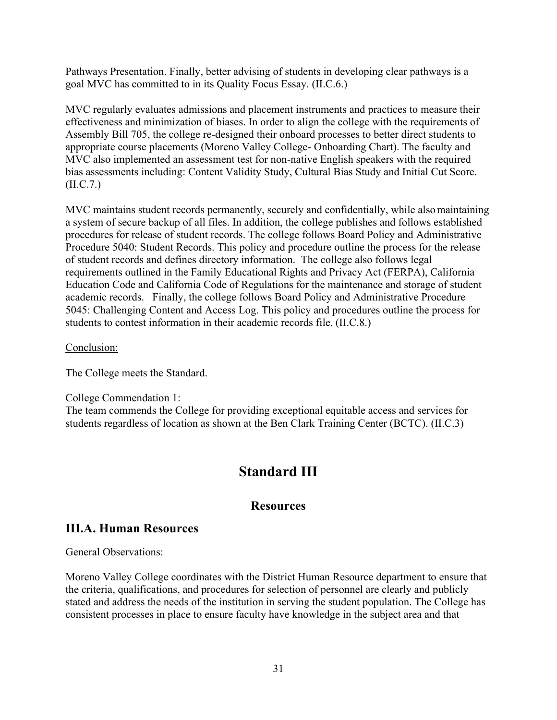Pathways Presentation. Finally, better advising of students in developing clear pathways is a goal MVC has committed to in its Quality Focus Essay. (II.C.6.)

MVC regularly evaluates admissions and placement instruments and practices to measure their effectiveness and minimization of biases. In order to align the college with the requirements of Assembly Bill 705, the college re-designed their onboard processes to better direct students to appropriate course placements (Moreno Valley College- Onboarding Chart). The faculty and MVC also implemented an assessment test for non-native English speakers with the required bias assessments including: Content Validity Study, Cultural Bias Study and Initial Cut Score. (II.C.7.)

MVC maintains student records permanently, securely and confidentially, while alsomaintaining a system of secure backup of all files. In addition, the college publishes and follows established procedures for release of student records. The college follows Board Policy and Administrative Procedure 5040: Student Records. This policy and procedure outline the process for the release of student records and defines directory information. The college also follows legal requirements outlined in the Family Educational Rights and Privacy Act (FERPA), California Education Code and California Code of Regulations for the maintenance and storage of student academic records. Finally, the college follows Board Policy and Administrative Procedure 5045: Challenging Content and Access Log. This policy and procedures outline the process for students to contest information in their academic records file. (II.C.8.)

#### Conclusion:

The College meets the Standard.

#### College Commendation 1:

The team commends the College for providing exceptional equitable access and services for students regardless of location as shown at the Ben Clark Training Center (BCTC). (II.C.3)

# **Standard III**

# **Resources**

# **III.A. Human Resources**

## General Observations:

Moreno Valley College coordinates with the District Human Resource department to ensure that the criteria, qualifications, and procedures for selection of personnel are clearly and publicly stated and address the needs of the institution in serving the student population. The College has consistent processes in place to ensure faculty have knowledge in the subject area and that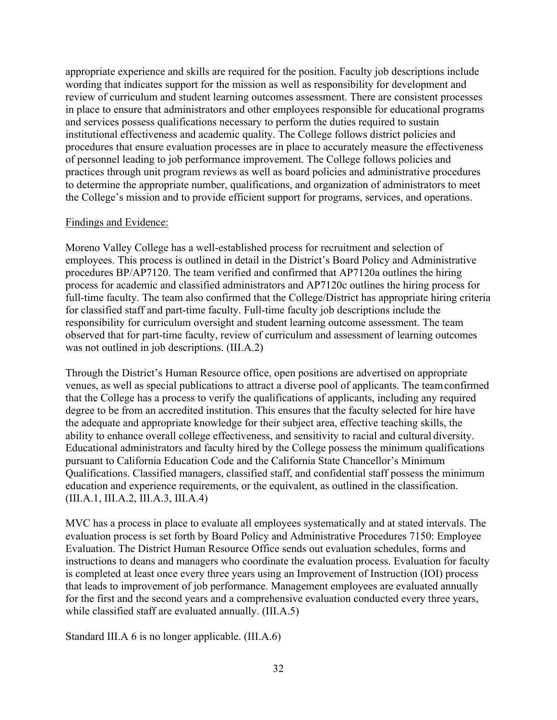appropriate experience and skills are required for the position. Faculty job descriptions include wording that indicates support for the mission as well as responsibility for development and review of curriculum and student learning outcomes assessment. There are consistent processes in place to ensure that administrators and other employees responsible for educational programs and services possess qualifications necessary to perform the duties required to sustain institutional effectiveness and academic quality. The College follows district policies and procedures that ensure evaluation processes are in place to accurately measure the effectiveness of personnel leading to job performance improvement. The College follows policies and practices through unit program reviews as well as board policies and administrative procedures to determine the appropriate number, qualifications, and organization of administrators to meet the College's mission and to provide efficient support for programs, services, and operations.

#### Findings and Evidence:

Moreno Valley College has a well-established process for recruitment and selection of employees. This process is outlined in detail in the District's Board Policy and Administrative procedures BP/AP7120. The team verified and confirmed that AP7120a outlines the hiring process for academic and classified administrators and AP7120c outlines the hiring process for full-time faculty. The team also confirmed that the College/District has appropriate hiring criteria for classified staff and part-time faculty. Full-time faculty job descriptions include the responsibility for curriculum oversight and student learning outcome assessment. The team observed that for part-time faculty, review of curriculum and assessment of learning outcomes was not outlined in job descriptions. (III.A.2)

Through the District's Human Resource office, open positions are advertised on appropriate venues, as well as special publications to attract a diverse pool of applicants. The teamconfirmed that the College has a process to verify the qualifications of applicants, including any required degree to be from an accredited institution. This ensures that the faculty selected for hire have the adequate and appropriate knowledge for their subject area, effective teaching skills, the ability to enhance overall college effectiveness, and sensitivity to racial and cultural diversity. Educational administrators and faculty hired by the College possess the minimum qualifications pursuant to California Education Code and the California State Chancellor's Minimum Qualifications. Classified managers, classified staff, and confidential staff possess the minimum education and experience requirements, or the equivalent, as outlined in the classification. (III.A.1, III.A.2, III.A.3, III.A.4)

MVC has a process in place to evaluate all employees systematically and at stated intervals. The evaluation process is set forth by Board Policy and Administrative Procedures 7150: Employee Evaluation. The District Human Resource Office sends out evaluation schedules, forms and instructions to deans and managers who coordinate the evaluation process. Evaluation for faculty is completed at least once every three years using an Improvement of Instruction (IOI) process that leads to improvement of job performance. Management employees are evaluated annually for the first and the second years and a comprehensive evaluation conducted every three years, while classified staff are evaluated annually. (III.A.5)

Standard III.A 6 is no longer applicable. (III.A.6)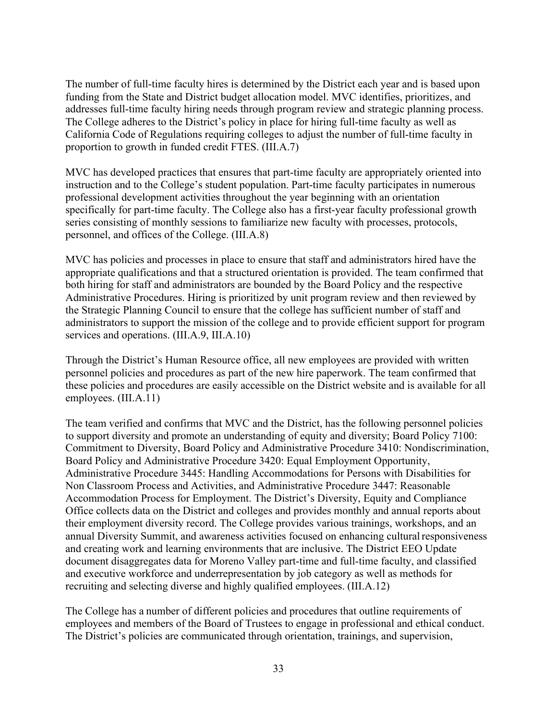The number of full-time faculty hires is determined by the District each year and is based upon funding from the State and District budget allocation model. MVC identifies, prioritizes, and addresses full-time faculty hiring needs through program review and strategic planning process. The College adheres to the District's policy in place for hiring full-time faculty as well as California Code of Regulations requiring colleges to adjust the number of full-time faculty in proportion to growth in funded credit FTES. (III.A.7)

MVC has developed practices that ensures that part-time faculty are appropriately oriented into instruction and to the College's student population. Part-time faculty participates in numerous professional development activities throughout the year beginning with an orientation specifically for part-time faculty. The College also has a first-year faculty professional growth series consisting of monthly sessions to familiarize new faculty with processes, protocols, personnel, and offices of the College. (III.A.8)

MVC has policies and processes in place to ensure that staff and administrators hired have the appropriate qualifications and that a structured orientation is provided. The team confirmed that both hiring for staff and administrators are bounded by the Board Policy and the respective Administrative Procedures. Hiring is prioritized by unit program review and then reviewed by the Strategic Planning Council to ensure that the college has sufficient number of staff and administrators to support the mission of the college and to provide efficient support for program services and operations. (III.A.9, III.A.10)

Through the District's Human Resource office, all new employees are provided with written personnel policies and procedures as part of the new hire paperwork. The team confirmed that these policies and procedures are easily accessible on the District website and is available for all employees. (III.A.11)

The team verified and confirms that MVC and the District, has the following personnel policies to support diversity and promote an understanding of equity and diversity; Board Policy 7100: Commitment to Diversity, Board Policy and Administrative Procedure 3410: Nondiscrimination, Board Policy and Administrative Procedure 3420: Equal Employment Opportunity, Administrative Procedure 3445: Handling Accommodations for Persons with Disabilities for Non Classroom Process and Activities, and Administrative Procedure 3447: Reasonable Accommodation Process for Employment. The District's Diversity, Equity and Compliance Office collects data on the District and colleges and provides monthly and annual reports about their employment diversity record. The College provides various trainings, workshops, and an annual Diversity Summit, and awareness activities focused on enhancing cultural responsiveness and creating work and learning environments that are inclusive. The District EEO Update document disaggregates data for Moreno Valley part-time and full-time faculty, and classified and executive workforce and underrepresentation by job category as well as methods for recruiting and selecting diverse and highly qualified employees. (III.A.12)

The College has a number of different policies and procedures that outline requirements of employees and members of the Board of Trustees to engage in professional and ethical conduct. The District's policies are communicated through orientation, trainings, and supervision,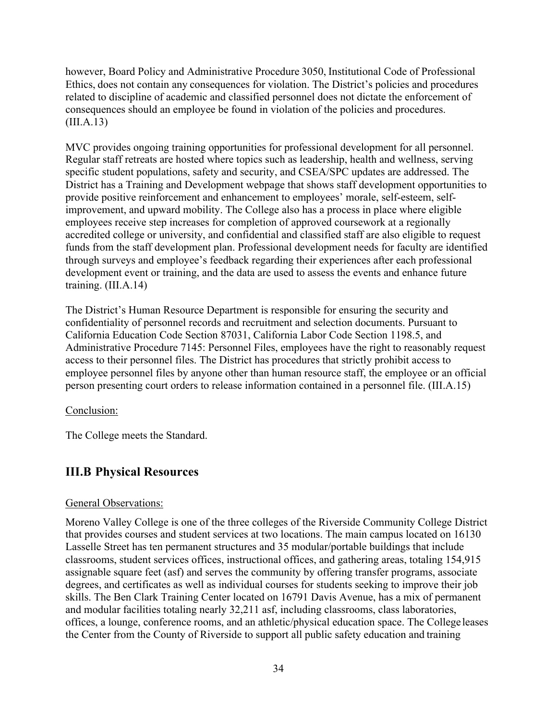however, Board Policy and Administrative Procedure 3050, Institutional Code of Professional Ethics, does not contain any consequences for violation. The District's policies and procedures related to discipline of academic and classified personnel does not dictate the enforcement of consequences should an employee be found in violation of the policies and procedures. (III.A.13)

MVC provides ongoing training opportunities for professional development for all personnel. Regular staff retreats are hosted where topics such as leadership, health and wellness, serving specific student populations, safety and security, and CSEA/SPC updates are addressed. The District has a Training and Development webpage that shows staff development opportunities to provide positive reinforcement and enhancement to employees' morale, self-esteem, selfimprovement, and upward mobility. The College also has a process in place where eligible employees receive step increases for completion of approved coursework at a regionally accredited college or university, and confidential and classified staff are also eligible to request funds from the staff development plan. Professional development needs for faculty are identified through surveys and employee's feedback regarding their experiences after each professional development event or training, and the data are used to assess the events and enhance future training. (III.A.14)

The District's Human Resource Department is responsible for ensuring the security and confidentiality of personnel records and recruitment and selection documents. Pursuant to California Education Code Section 87031, California Labor Code Section 1198.5, and Administrative Procedure 7145: Personnel Files, employees have the right to reasonably request access to their personnel files. The District has procedures that strictly prohibit access to employee personnel files by anyone other than human resource staff, the employee or an official person presenting court orders to release information contained in a personnel file. (III.A.15)

#### Conclusion:

The College meets the Standard.

# **III.B Physical Resources**

#### General Observations:

Moreno Valley College is one of the three colleges of the Riverside Community College District that provides courses and student services at two locations. The main campus located on 16130 Lasselle Street has ten permanent structures and 35 modular/portable buildings that include classrooms, student services offices, instructional offices, and gathering areas, totaling 154,915 assignable square feet (asf) and serves the community by offering transfer programs, associate degrees, and certificates as well as individual courses for students seeking to improve their job skills. The Ben Clark Training Center located on 16791 Davis Avenue, has a mix of permanent and modular facilities totaling nearly 32,211 asf, including classrooms, class laboratories, offices, a lounge, conference rooms, and an athletic/physical education space. The College leases the Center from the County of Riverside to support all public safety education and training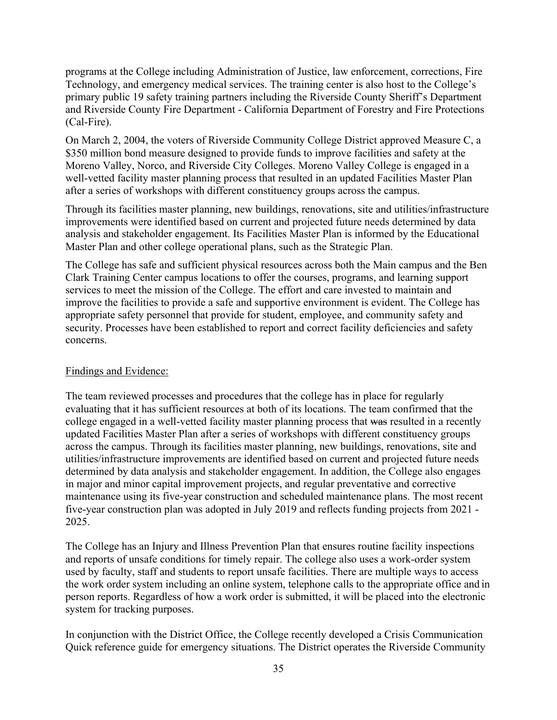programs at the College including Administration of Justice, law enforcement, corrections, Fire Technology, and emergency medical services. The training center is also host to the College's primary public 19 safety training partners including the Riverside County Sheriff's Department and Riverside County Fire Department - California Department of Forestry and Fire Protections (Cal-Fire).

On March 2, 2004, the voters of Riverside Community College District approved Measure C, a \$350 million bond measure designed to provide funds to improve facilities and safety at the Moreno Valley, Norco, and Riverside City Colleges. Moreno Valley College is engaged in a well-vetted facility master planning process that resulted in an updated Facilities Master Plan after a series of workshops with different constituency groups across the campus.

Through its facilities master planning, new buildings, renovations, site and utilities/infrastructure improvements were identified based on current and projected future needs determined by data analysis and stakeholder engagement. Its Facilities Master Plan is informed by the Educational Master Plan and other college operational plans, such as the Strategic Plan.

The College has safe and sufficient physical resources across both the Main campus and the Ben Clark Training Center campus locations to offer the courses, programs, and learning support services to meet the mission of the College. The effort and care invested to maintain and improve the facilities to provide a safe and supportive environment is evident. The College has appropriate safety personnel that provide for student, employee, and community safety and security. Processes have been established to report and correct facility deficiencies and safety concerns.

## Findings and Evidence:

The team reviewed processes and procedures that the college has in place for regularly evaluating that it has sufficient resources at both of its locations. The team confirmed that the college engaged in a well-vetted facility master planning process that was resulted in a recently updated Facilities Master Plan after a series of workshops with different constituency groups across the campus. Through its facilities master planning, new buildings, renovations, site and utilities/infrastructure improvements are identified based on current and projected future needs determined by data analysis and stakeholder engagement. In addition, the College also engages in major and minor capital improvement projects, and regular preventative and corrective maintenance using its five-year construction and scheduled maintenance plans. The most recent five-year construction plan was adopted in July 2019 and reflects funding projects from 2021 - 2025.

The College has an Injury and Illness Prevention Plan that ensures routine facility inspections and reports of unsafe conditions for timely repair. The college also uses a work-order system used by faculty, staff and students to report unsafe facilities. There are multiple ways to access the work order system including an online system, telephone calls to the appropriate office and in person reports. Regardless of how a work order is submitted, it will be placed into the electronic system for tracking purposes.

In conjunction with the District Office, the College recently developed a Crisis Communication Quick reference guide for emergency situations. The District operates the Riverside Community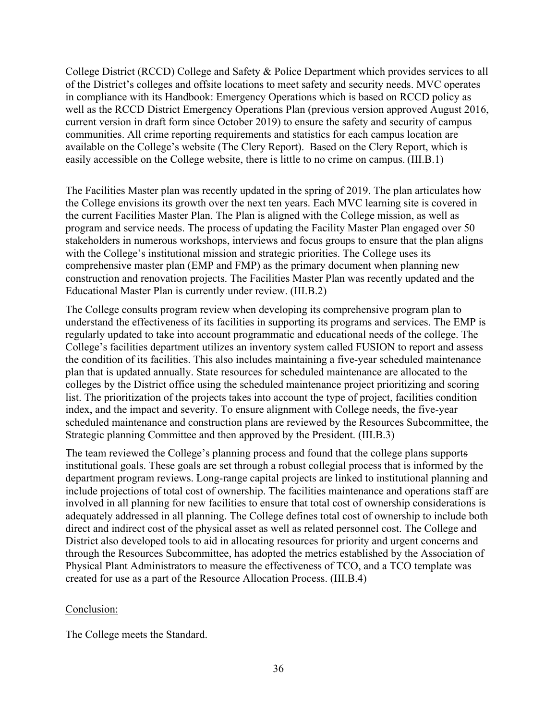College District (RCCD) College and Safety & Police Department which provides services to all of the District's colleges and offsite locations to meet safety and security needs. MVC operates in compliance with its Handbook: Emergency Operations which is based on RCCD policy as well as the RCCD District Emergency Operations Plan (previous version approved August 2016, current version in draft form since October 2019) to ensure the safety and security of campus communities. All crime reporting requirements and statistics for each campus location are available on the College's website (The Clery Report). Based on the Clery Report, which is easily accessible on the College website, there is little to no crime on campus. (III.B.1)

The Facilities Master plan was recently updated in the spring of 2019. The plan articulates how the College envisions its growth over the next ten years. Each MVC learning site is covered in the current Facilities Master Plan. The Plan is aligned with the College mission, as well as program and service needs. The process of updating the Facility Master Plan engaged over 50 stakeholders in numerous workshops, interviews and focus groups to ensure that the plan aligns with the College's institutional mission and strategic priorities. The College uses its comprehensive master plan (EMP and FMP) as the primary document when planning new construction and renovation projects. The Facilities Master Plan was recently updated and the Educational Master Plan is currently under review. (III.B.2)

The College consults program review when developing its comprehensive program plan to understand the effectiveness of its facilities in supporting its programs and services. The EMP is regularly updated to take into account programmatic and educational needs of the college. The College's facilities department utilizes an inventory system called FUSION to report and assess the condition of its facilities. This also includes maintaining a five-year scheduled maintenance plan that is updated annually. State resources for scheduled maintenance are allocated to the colleges by the District office using the scheduled maintenance project prioritizing and scoring list. The prioritization of the projects takes into account the type of project, facilities condition index, and the impact and severity. To ensure alignment with College needs, the five-year scheduled maintenance and construction plans are reviewed by the Resources Subcommittee, the Strategic planning Committee and then approved by the President. (III.B.3)

The team reviewed the College's planning process and found that the college plans supports institutional goals. These goals are set through a robust collegial process that is informed by the department program reviews. Long-range capital projects are linked to institutional planning and include projections of total cost of ownership. The facilities maintenance and operations staff are involved in all planning for new facilities to ensure that total cost of ownership considerations is adequately addressed in all planning. The College defines total cost of ownership to include both direct and indirect cost of the physical asset as well as related personnel cost. The College and District also developed tools to aid in allocating resources for priority and urgent concerns and through the Resources Subcommittee, has adopted the metrics established by the Association of Physical Plant Administrators to measure the effectiveness of TCO, and a TCO template was created for use as a part of the Resource Allocation Process. (III.B.4)

#### Conclusion:

The College meets the Standard.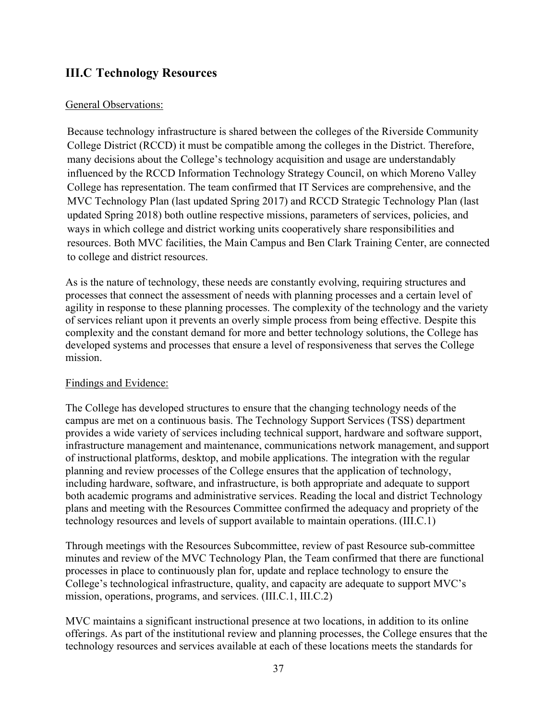# **III.C Technology Resources**

## General Observations:

Because technology infrastructure is shared between the colleges of the Riverside Community College District (RCCD) it must be compatible among the colleges in the District. Therefore, many decisions about the College's technology acquisition and usage are understandably influenced by the RCCD Information Technology Strategy Council, on which Moreno Valley College has representation. The team confirmed that IT Services are comprehensive, and the MVC Technology Plan (last updated Spring 2017) and RCCD Strategic Technology Plan (last updated Spring 2018) both outline respective missions, parameters of services, policies, and ways in which college and district working units cooperatively share responsibilities and resources. Both MVC facilities, the Main Campus and Ben Clark Training Center, are connected to college and district resources.

As is the nature of technology, these needs are constantly evolving, requiring structures and processes that connect the assessment of needs with planning processes and a certain level of agility in response to these planning processes. The complexity of the technology and the variety of services reliant upon it prevents an overly simple process from being effective. Despite this complexity and the constant demand for more and better technology solutions, the College has developed systems and processes that ensure a level of responsiveness that serves the College mission.

#### Findings and Evidence:

The College has developed structures to ensure that the changing technology needs of the campus are met on a continuous basis. The Technology Support Services (TSS) department provides a wide variety of services including technical support, hardware and software support, infrastructure management and maintenance, communications network management, and support of instructional platforms, desktop, and mobile applications. The integration with the regular planning and review processes of the College ensures that the application of technology, including hardware, software, and infrastructure, is both appropriate and adequate to support both academic programs and administrative services. Reading the local and district Technology plans and meeting with the Resources Committee confirmed the adequacy and propriety of the technology resources and levels of support available to maintain operations. (III.C.1)

Through meetings with the Resources Subcommittee, review of past Resource sub-committee minutes and review of the MVC Technology Plan, the Team confirmed that there are functional processes in place to continuously plan for, update and replace technology to ensure the College's technological infrastructure, quality, and capacity are adequate to support MVC's mission, operations, programs, and services. (III.C.1, III.C.2)

MVC maintains a significant instructional presence at two locations, in addition to its online offerings. As part of the institutional review and planning processes, the College ensures that the technology resources and services available at each of these locations meets the standards for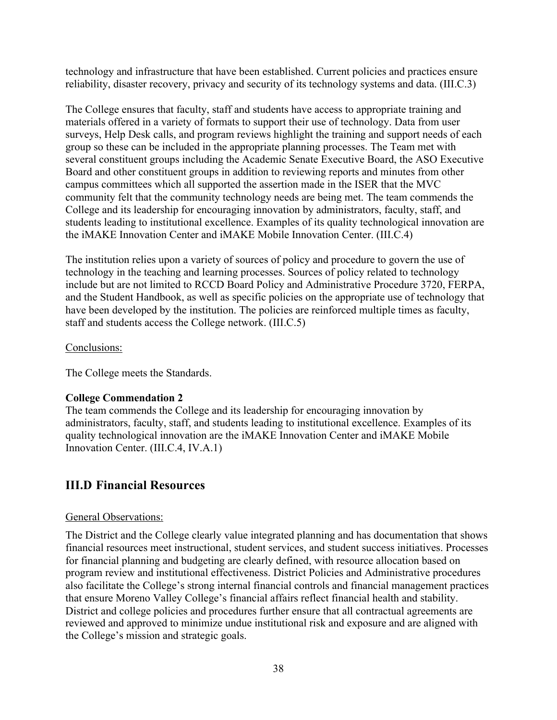technology and infrastructure that have been established. Current policies and practices ensure reliability, disaster recovery, privacy and security of its technology systems and data. (III.C.3)

The College ensures that faculty, staff and students have access to appropriate training and materials offered in a variety of formats to support their use of technology. Data from user surveys, Help Desk calls, and program reviews highlight the training and support needs of each group so these can be included in the appropriate planning processes. The Team met with several constituent groups including the Academic Senate Executive Board, the ASO Executive Board and other constituent groups in addition to reviewing reports and minutes from other campus committees which all supported the assertion made in the ISER that the MVC community felt that the community technology needs are being met. The team commends the College and its leadership for encouraging innovation by administrators, faculty, staff, and students leading to institutional excellence. Examples of its quality technological innovation are the iMAKE Innovation Center and iMAKE Mobile Innovation Center. (III.C.4)

The institution relies upon a variety of sources of policy and procedure to govern the use of technology in the teaching and learning processes. Sources of policy related to technology include but are not limited to RCCD Board Policy and Administrative Procedure 3720, FERPA, and the Student Handbook, as well as specific policies on the appropriate use of technology that have been developed by the institution. The policies are reinforced multiple times as faculty, staff and students access the College network. (III.C.5)

## Conclusions:

The College meets the Standards.

## **College Commendation 2**

The team commends the College and its leadership for encouraging innovation by administrators, faculty, staff, and students leading to institutional excellence. Examples of its quality technological innovation are the iMAKE Innovation Center and iMAKE Mobile Innovation Center. (III.C.4, IV.A.1)

# **III.D Financial Resources**

#### General Observations:

The District and the College clearly value integrated planning and has documentation that shows financial resources meet instructional, student services, and student success initiatives. Processes for financial planning and budgeting are clearly defined, with resource allocation based on program review and institutional effectiveness. District Policies and Administrative procedures also facilitate the College's strong internal financial controls and financial management practices that ensure Moreno Valley College's financial affairs reflect financial health and stability. District and college policies and procedures further ensure that all contractual agreements are reviewed and approved to minimize undue institutional risk and exposure and are aligned with the College's mission and strategic goals.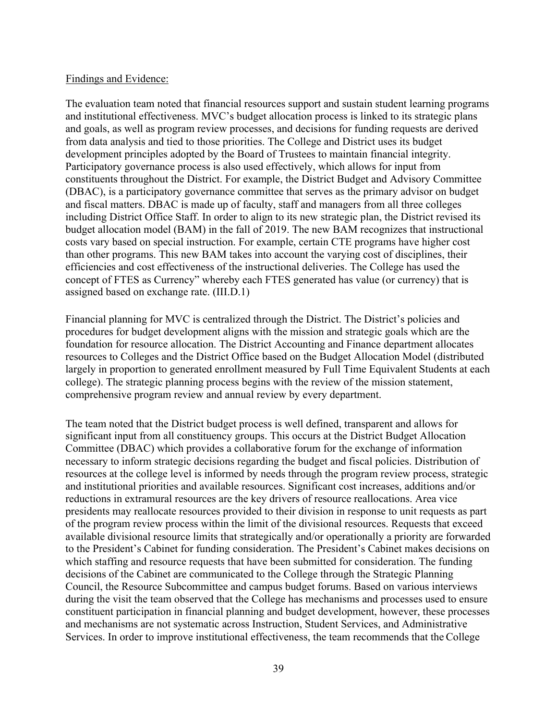#### Findings and Evidence:

The evaluation team noted that financial resources support and sustain student learning programs and institutional effectiveness. MVC's budget allocation process is linked to its strategic plans and goals, as well as program review processes, and decisions for funding requests are derived from data analysis and tied to those priorities. The College and District uses its budget development principles adopted by the Board of Trustees to maintain financial integrity. Participatory governance process is also used effectively, which allows for input from constituents throughout the District. For example, the District Budget and Advisory Committee (DBAC), is a participatory governance committee that serves as the primary advisor on budget and fiscal matters. DBAC is made up of faculty, staff and managers from all three colleges including District Office Staff. In order to align to its new strategic plan, the District revised its budget allocation model (BAM) in the fall of 2019. The new BAM recognizes that instructional costs vary based on special instruction. For example, certain CTE programs have higher cost than other programs. This new BAM takes into account the varying cost of disciplines, their efficiencies and cost effectiveness of the instructional deliveries. The College has used the concept of FTES as Currency" whereby each FTES generated has value (or currency) that is assigned based on exchange rate. (III.D.1)

Financial planning for MVC is centralized through the District. The District's policies and procedures for budget development aligns with the mission and strategic goals which are the foundation for resource allocation. The District Accounting and Finance department allocates resources to Colleges and the District Office based on the Budget Allocation Model (distributed largely in proportion to generated enrollment measured by Full Time Equivalent Students at each college). The strategic planning process begins with the review of the mission statement, comprehensive program review and annual review by every department.

The team noted that the District budget process is well defined, transparent and allows for significant input from all constituency groups. This occurs at the District Budget Allocation Committee (DBAC) which provides a collaborative forum for the exchange of information necessary to inform strategic decisions regarding the budget and fiscal policies. Distribution of resources at the college level is informed by needs through the program review process, strategic and institutional priorities and available resources. Significant cost increases, additions and/or reductions in extramural resources are the key drivers of resource reallocations. Area vice presidents may reallocate resources provided to their division in response to unit requests as part of the program review process within the limit of the divisional resources. Requests that exceed available divisional resource limits that strategically and/or operationally a priority are forwarded to the President's Cabinet for funding consideration. The President's Cabinet makes decisions on which staffing and resource requests that have been submitted for consideration. The funding decisions of the Cabinet are communicated to the College through the Strategic Planning Council, the Resource Subcommittee and campus budget forums. Based on various interviews during the visit the team observed that the College has mechanisms and processes used to ensure constituent participation in financial planning and budget development, however, these processes and mechanisms are not systematic across Instruction, Student Services, and Administrative Services. In order to improve institutional effectiveness, the team recommends that the College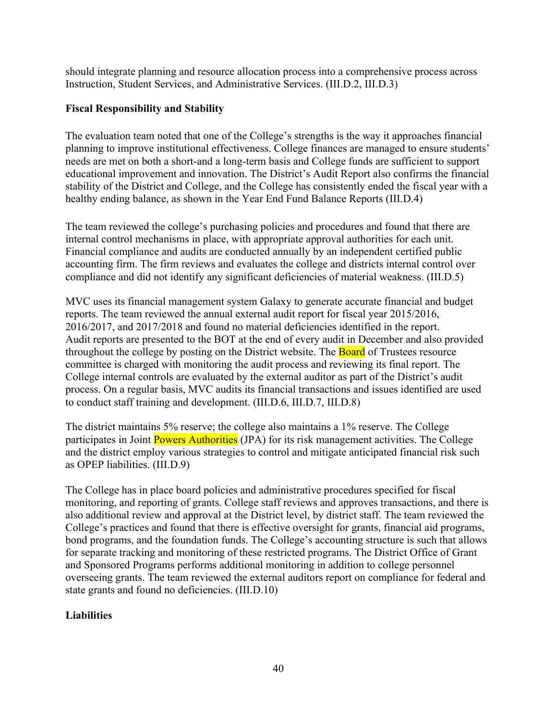should integrate planning and resource allocation process into a comprehensive process across Instruction, Student Services, and Administrative Services. (III.D.2, III.D.3)

# **Fiscal Responsibility and Stability**

The evaluation team noted that one of the College's strengths is the way it approaches financial planning to improve institutional effectiveness. College finances are managed to ensure students' needs are met on both a short-and a long-term basis and College funds are sufficient to support educational improvement and innovation. The District's Audit Report also confirms the financial stability of the District and College, and the College has consistently ended the fiscal year with a healthy ending balance, as shown in the Year End Fund Balance Reports (III.D.4)

The team reviewed the college's purchasing policies and procedures and found that there are internal control mechanisms in place, with appropriate approval authorities for each unit. Financial compliance and audits are conducted annually by an independent certified public accounting firm. The firm reviews and evaluates the college and districts internal control over compliance and did not identify any significant deficiencies of material weakness. (III.D.5)

MVC uses its financial management system Galaxy to generate accurate financial and budget reports. The team reviewed the annual external audit report for fiscal year 2015/2016, 2016/2017, and 2017/2018 and found no material deficiencies identified in the report. Audit reports are presented to the BOT at the end of every audit in December and also provided throughout the college by posting on the District website. The **Board** of Trustees resource committee is charged with monitoring the audit process and reviewing its final report. The College internal controls are evaluated by the external auditor as part of the District's audit process. On a regular basis, MVC audits its financial transactions and issues identified are used to conduct staff training and development. (III.D.6, III.D.7, III.D.8)

The district maintains 5% reserve; the college also maintains a 1% reserve. The College participates in Joint Powers Authorities (JPA) for its risk management activities. The College and the district employ various strategies to control and mitigate anticipated financial risk such as OPEP liabilities. (III.D.9)

The College has in place board policies and administrative procedures specified for fiscal monitoring, and reporting of grants. College staff reviews and approves transactions, and there is also additional review and approval at the District level, by district staff. The team reviewed the College's practices and found that there is effective oversight for grants, financial aid programs, bond programs, and the foundation funds. The College's accounting structure is such that allows for separate tracking and monitoring of these restricted programs. The District Office of Grant and Sponsored Programs performs additional monitoring in addition to college personnel overseeing grants. The team reviewed the external auditors report on compliance for federal and state grants and found no deficiencies. (III.D.10)

# **Liabilities**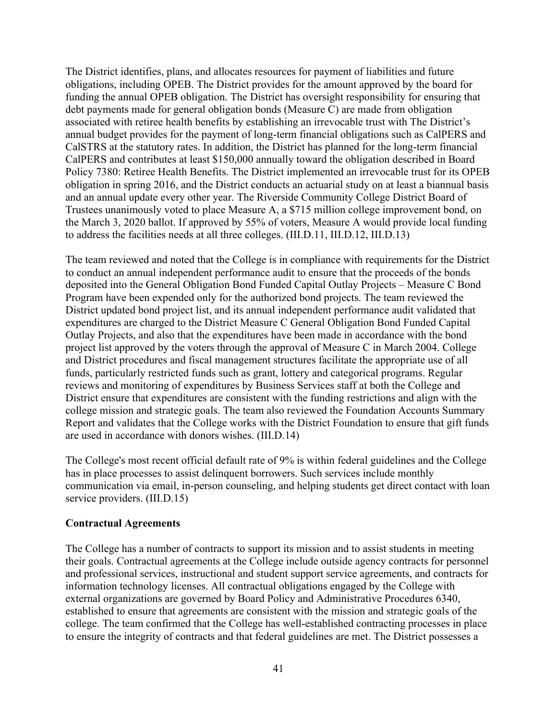The District identifies, plans, and allocates resources for payment of liabilities and future obligations, including OPEB. The District provides for the amount approved by the board for funding the annual OPEB obligation. The District has oversight responsibility for ensuring that debt payments made for general obligation bonds (Measure C) are made from obligation associated with retiree health benefits by establishing an irrevocable trust with The District's annual budget provides for the payment of long-term financial obligations such as CalPERS and CalSTRS at the statutory rates. In addition, the District has planned for the long-term financial CalPERS and contributes at least \$150,000 annually toward the obligation described in Board Policy 7380: Retiree Health Benefits. The District implemented an irrevocable trust for its OPEB obligation in spring 2016, and the District conducts an actuarial study on at least a biannual basis and an annual update every other year. The Riverside Community College District Board of Trustees unanimously voted to place Measure A, a \$715 million college improvement bond, on the March 3, 2020 ballot. If approved by 55% of voters, Measure A would provide local funding to address the facilities needs at all three colleges. (III.D.11, III.D.12, III.D.13)

The team reviewed and noted that the College is in compliance with requirements for the District to conduct an annual independent performance audit to ensure that the proceeds of the bonds deposited into the General Obligation Bond Funded Capital Outlay Projects – Measure C Bond Program have been expended only for the authorized bond projects. The team reviewed the District updated bond project list, and its annual independent performance audit validated that expenditures are charged to the District Measure C General Obligation Bond Funded Capital Outlay Projects, and also that the expenditures have been made in accordance with the bond project list approved by the voters through the approval of Measure C in March 2004. College and District procedures and fiscal management structures facilitate the appropriate use of all funds, particularly restricted funds such as grant, lottery and categorical programs. Regular reviews and monitoring of expenditures by Business Services staff at both the College and District ensure that expenditures are consistent with the funding restrictions and align with the college mission and strategic goals. The team also reviewed the Foundation Accounts Summary Report and validates that the College works with the District Foundation to ensure that gift funds are used in accordance with donors wishes. (III.D.14)

The College's most recent official default rate of 9% is within federal guidelines and the College has in place processes to assist delinquent borrowers. Such services include monthly communication via email, in-person counseling, and helping students get direct contact with loan service providers. (III.D.15)

## **Contractual Agreements**

The College has a number of contracts to support its mission and to assist students in meeting their goals. Contractual agreements at the College include outside agency contracts for personnel and professional services, instructional and student support service agreements, and contracts for information technology licenses. All contractual obligations engaged by the College with external organizations are governed by Board Policy and Administrative Procedures 6340, established to ensure that agreements are consistent with the mission and strategic goals of the college. The team confirmed that the College has well-established contracting processes in place to ensure the integrity of contracts and that federal guidelines are met. The District possesses a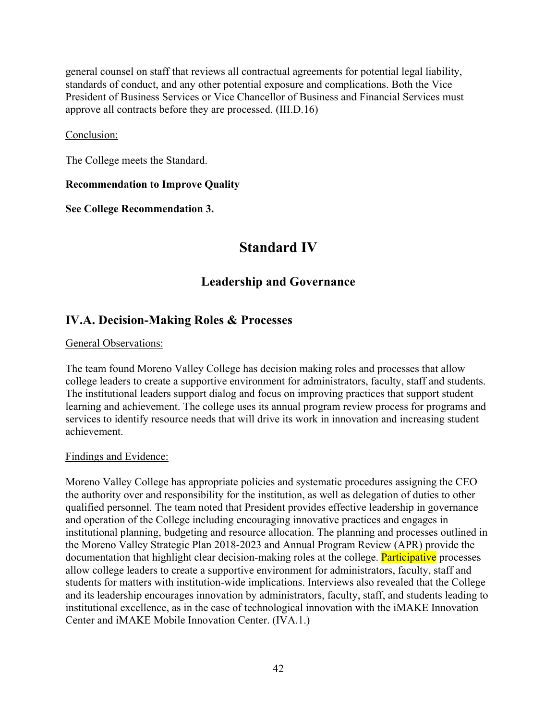general counsel on staff that reviews all contractual agreements for potential legal liability, standards of conduct, and any other potential exposure and complications. Both the Vice President of Business Services or Vice Chancellor of Business and Financial Services must approve all contracts before they are processed. (III.D.16)

## Conclusion:

The College meets the Standard.

## **Recommendation to Improve Quality**

**See College Recommendation 3.**

# **Standard IV**

# **Leadership and Governance**

# **IV.A. Decision-Making Roles & Processes**

General Observations:

The team found Moreno Valley College has decision making roles and processes that allow college leaders to create a supportive environment for administrators, faculty, staff and students. The institutional leaders support dialog and focus on improving practices that support student learning and achievement. The college uses its annual program review process for programs and services to identify resource needs that will drive its work in innovation and increasing student achievement.

#### Findings and Evidence:

Moreno Valley College has appropriate policies and systematic procedures assigning the CEO the authority over and responsibility for the institution, as well as delegation of duties to other qualified personnel. The team noted that President provides effective leadership in governance and operation of the College including encouraging innovative practices and engages in institutional planning, budgeting and resource allocation. The planning and processes outlined in the Moreno Valley Strategic Plan 2018-2023 and Annual Program Review (APR) provide the documentation that highlight clear decision-making roles at the college. Participative processes allow college leaders to create a supportive environment for administrators, faculty, staff and students for matters with institution-wide implications. Interviews also revealed that the College and its leadership encourages innovation by administrators, faculty, staff, and students leading to institutional excellence, as in the case of technological innovation with the iMAKE Innovation Center and iMAKE Mobile Innovation Center. (IVA.1.)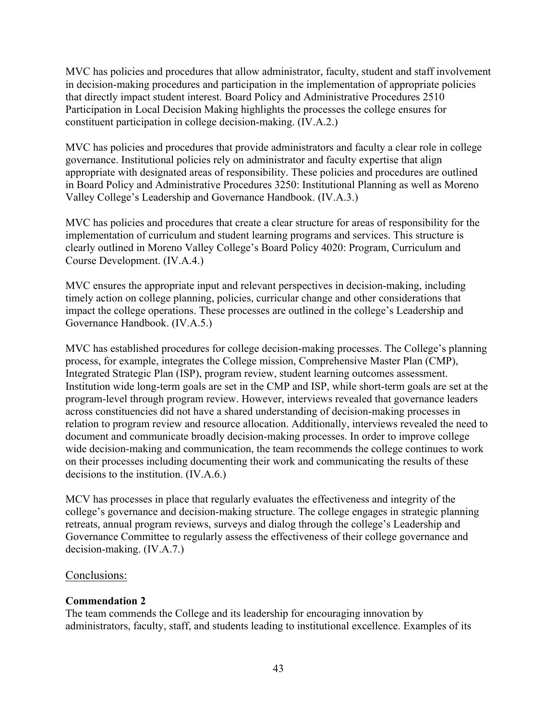MVC has policies and procedures that allow administrator, faculty, student and staff involvement in decision-making procedures and participation in the implementation of appropriate policies that directly impact student interest. Board Policy and Administrative Procedures 2510 Participation in Local Decision Making highlights the processes the college ensures for constituent participation in college decision-making. (IV.A.2.)

MVC has policies and procedures that provide administrators and faculty a clear role in college governance. Institutional policies rely on administrator and faculty expertise that align appropriate with designated areas of responsibility. These policies and procedures are outlined in Board Policy and Administrative Procedures 3250: Institutional Planning as well as Moreno Valley College's Leadership and Governance Handbook. (IV.A.3.)

MVC has policies and procedures that create a clear structure for areas of responsibility for the implementation of curriculum and student learning programs and services. This structure is clearly outlined in Moreno Valley College's Board Policy 4020: Program, Curriculum and Course Development. (IV.A.4.)

MVC ensures the appropriate input and relevant perspectives in decision-making, including timely action on college planning, policies, curricular change and other considerations that impact the college operations. These processes are outlined in the college's Leadership and Governance Handbook. (IV.A.5.)

MVC has established procedures for college decision-making processes. The College's planning process, for example, integrates the College mission, Comprehensive Master Plan (CMP), Integrated Strategic Plan (ISP), program review, student learning outcomes assessment. Institution wide long-term goals are set in the CMP and ISP, while short-term goals are set at the program-level through program review. However, interviews revealed that governance leaders across constituencies did not have a shared understanding of decision-making processes in relation to program review and resource allocation. Additionally, interviews revealed the need to document and communicate broadly decision-making processes. In order to improve college wide decision-making and communication, the team recommends the college continues to work on their processes including documenting their work and communicating the results of these decisions to the institution. (IV.A.6.)

MCV has processes in place that regularly evaluates the effectiveness and integrity of the college's governance and decision-making structure. The college engages in strategic planning retreats, annual program reviews, surveys and dialog through the college's Leadership and Governance Committee to regularly assess the effectiveness of their college governance and decision-making. (IV.A.7.)

#### Conclusions:

#### **Commendation 2**

The team commends the College and its leadership for encouraging innovation by administrators, faculty, staff, and students leading to institutional excellence. Examples of its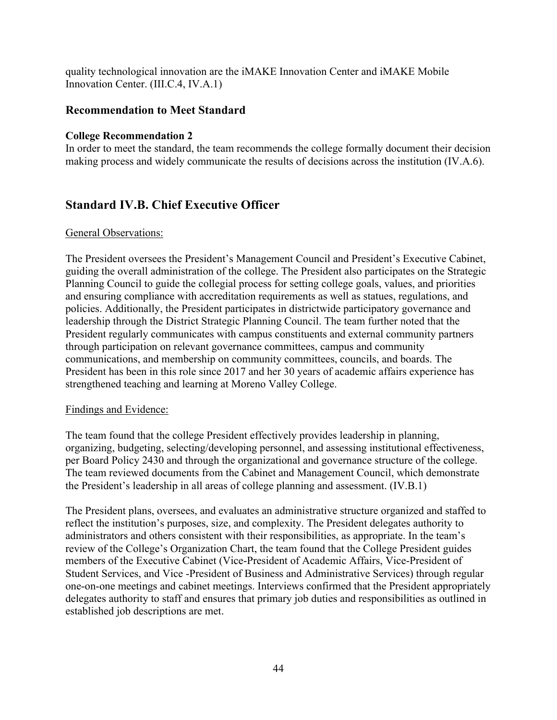quality technological innovation are the iMAKE Innovation Center and iMAKE Mobile Innovation Center. (III.C.4, IV.A.1)

## **Recommendation to Meet Standard**

## **College Recommendation 2**

In order to meet the standard, the team recommends the college formally document their decision making process and widely communicate the results of decisions across the institution (IV.A.6).

# **Standard IV.B. Chief Executive Officer**

#### General Observations:

The President oversees the President's Management Council and President's Executive Cabinet, guiding the overall administration of the college. The President also participates on the Strategic Planning Council to guide the collegial process for setting college goals, values, and priorities and ensuring compliance with accreditation requirements as well as statues, regulations, and policies. Additionally, the President participates in districtwide participatory governance and leadership through the District Strategic Planning Council. The team further noted that the President regularly communicates with campus constituents and external community partners through participation on relevant governance committees, campus and community communications, and membership on community committees, councils, and boards. The President has been in this role since 2017 and her 30 years of academic affairs experience has strengthened teaching and learning at Moreno Valley College.

#### Findings and Evidence:

The team found that the college President effectively provides leadership in planning, organizing, budgeting, selecting/developing personnel, and assessing institutional effectiveness, per Board Policy 2430 and through the organizational and governance structure of the college. The team reviewed documents from the Cabinet and Management Council, which demonstrate the President's leadership in all areas of college planning and assessment. (IV.B.1)

The President plans, oversees, and evaluates an administrative structure organized and staffed to reflect the institution's purposes, size, and complexity. The President delegates authority to administrators and others consistent with their responsibilities, as appropriate. In the team's review of the College's Organization Chart, the team found that the College President guides members of the Executive Cabinet (Vice-President of Academic Affairs, Vice-President of Student Services, and Vice -President of Business and Administrative Services) through regular one-on-one meetings and cabinet meetings. Interviews confirmed that the President appropriately delegates authority to staff and ensures that primary job duties and responsibilities as outlined in established job descriptions are met.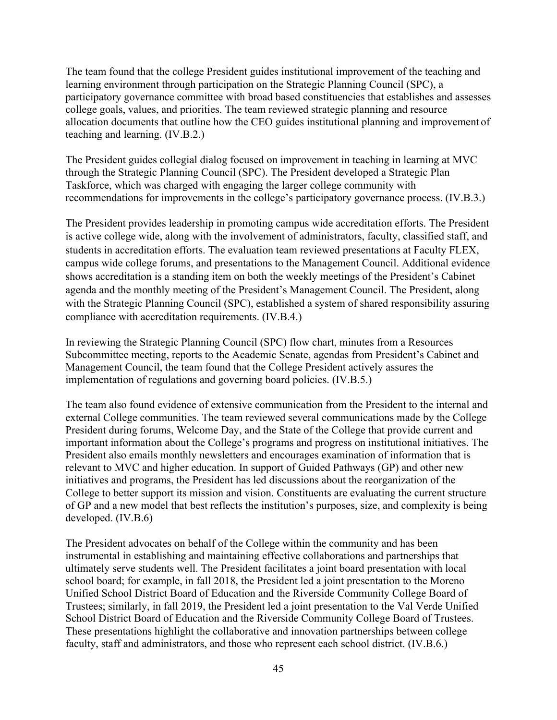The team found that the college President guides institutional improvement of the teaching and learning environment through participation on the Strategic Planning Council (SPC), a participatory governance committee with broad based constituencies that establishes and assesses college goals, values, and priorities. The team reviewed strategic planning and resource allocation documents that outline how the CEO guides institutional planning and improvement of teaching and learning. (IV.B.2.)

The President guides collegial dialog focused on improvement in teaching in learning at MVC through the Strategic Planning Council (SPC). The President developed a Strategic Plan Taskforce, which was charged with engaging the larger college community with recommendations for improvements in the college's participatory governance process. (IV.B.3.)

The President provides leadership in promoting campus wide accreditation efforts. The President is active college wide, along with the involvement of administrators, faculty, classified staff, and students in accreditation efforts. The evaluation team reviewed presentations at Faculty FLEX, campus wide college forums, and presentations to the Management Council. Additional evidence shows accreditation is a standing item on both the weekly meetings of the President's Cabinet agenda and the monthly meeting of the President's Management Council. The President, along with the Strategic Planning Council (SPC), established a system of shared responsibility assuring compliance with accreditation requirements. (IV.B.4.)

In reviewing the Strategic Planning Council (SPC) flow chart, minutes from a Resources Subcommittee meeting, reports to the Academic Senate, agendas from President's Cabinet and Management Council, the team found that the College President actively assures the implementation of regulations and governing board policies. (IV.B.5.)

The team also found evidence of extensive communication from the President to the internal and external College communities. The team reviewed several communications made by the College President during forums, Welcome Day, and the State of the College that provide current and important information about the College's programs and progress on institutional initiatives. The President also emails monthly newsletters and encourages examination of information that is relevant to MVC and higher education. In support of Guided Pathways (GP) and other new initiatives and programs, the President has led discussions about the reorganization of the College to better support its mission and vision. Constituents are evaluating the current structure of GP and a new model that best reflects the institution's purposes, size, and complexity is being developed. (IV.B.6)

The President advocates on behalf of the College within the community and has been instrumental in establishing and maintaining effective collaborations and partnerships that ultimately serve students well. The President facilitates a joint board presentation with local school board; for example, in fall 2018, the President led a joint presentation to the Moreno Unified School District Board of Education and the Riverside Community College Board of Trustees; similarly, in fall 2019, the President led a joint presentation to the Val Verde Unified School District Board of Education and the Riverside Community College Board of Trustees. These presentations highlight the collaborative and innovation partnerships between college faculty, staff and administrators, and those who represent each school district. (IV.B.6.)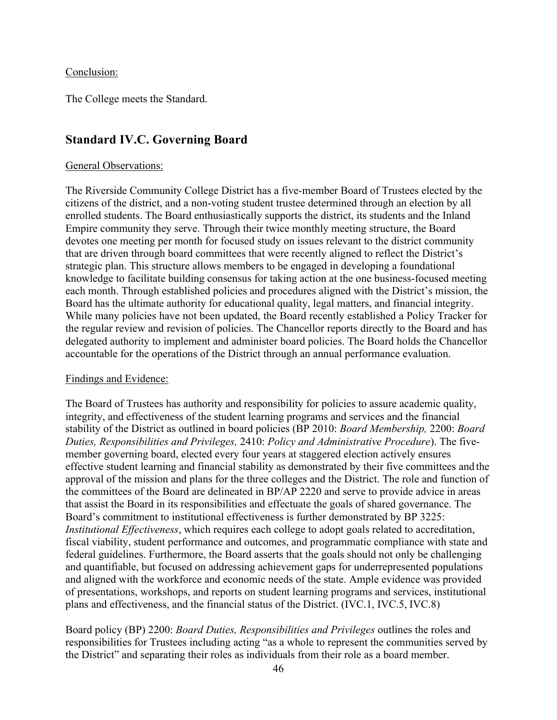#### Conclusion:

The College meets the Standard.

## **Standard IV.C. Governing Board**

#### General Observations:

The Riverside Community College District has a five-member Board of Trustees elected by the citizens of the district, and a non-voting student trustee determined through an election by all enrolled students. The Board enthusiastically supports the district, its students and the Inland Empire community they serve. Through their twice monthly meeting structure, the Board devotes one meeting per month for focused study on issues relevant to the district community that are driven through board committees that were recently aligned to reflect the District's strategic plan. This structure allows members to be engaged in developing a foundational knowledge to facilitate building consensus for taking action at the one business-focused meeting each month. Through established policies and procedures aligned with the District's mission, the Board has the ultimate authority for educational quality, legal matters, and financial integrity. While many policies have not been updated, the Board recently established a Policy Tracker for the regular review and revision of policies. The Chancellor reports directly to the Board and has delegated authority to implement and administer board policies. The Board holds the Chancellor accountable for the operations of the District through an annual performance evaluation.

#### Findings and Evidence:

The Board of Trustees has authority and responsibility for policies to assure academic quality, integrity, and effectiveness of the student learning programs and services and the financial stability of the District as outlined in board policies (BP 2010: *Board Membership,* 2200: *Board Duties, Responsibilities and Privileges,* 2410: *Policy and Administrative Procedure*). The fivemember governing board, elected every four years at staggered election actively ensures effective student learning and financial stability as demonstrated by their five committees and the approval of the mission and plans for the three colleges and the District. The role and function of the committees of the Board are delineated in BP/AP 2220 and serve to provide advice in areas that assist the Board in its responsibilities and effectuate the goals of shared governance. The Board's commitment to institutional effectiveness is further demonstrated by BP 3225: *Institutional Effectiveness*, which requires each college to adopt goals related to accreditation, fiscal viability, student performance and outcomes, and programmatic compliance with state and federal guidelines. Furthermore, the Board asserts that the goals should not only be challenging and quantifiable, but focused on addressing achievement gaps for underrepresented populations and aligned with the workforce and economic needs of the state. Ample evidence was provided of presentations, workshops, and reports on student learning programs and services, institutional plans and effectiveness, and the financial status of the District. (IVC.1, IVC.5, IVC.8)

Board policy (BP) 2200: *Board Duties, Responsibilities and Privileges* outlines the roles and responsibilities for Trustees including acting "as a whole to represent the communities served by the District" and separating their roles as individuals from their role as a board member.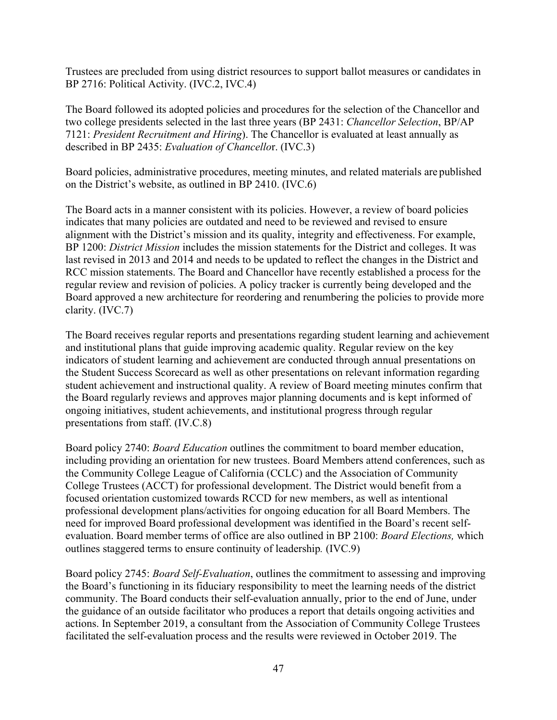Trustees are precluded from using district resources to support ballot measures or candidates in BP 2716: Political Activity. (IVC.2, IVC.4)

The Board followed its adopted policies and procedures for the selection of the Chancellor and two college presidents selected in the last three years (BP 2431: *Chancellor Selection*, BP/AP 7121: *President Recruitment and Hiring*). The Chancellor is evaluated at least annually as described in BP 2435: *Evaluation of Chancello*r. (IVC.3)

Board policies, administrative procedures, meeting minutes, and related materials are published on the District's website, as outlined in BP 2410. (IVC.6)

The Board acts in a manner consistent with its policies. However, a review of board policies indicates that many policies are outdated and need to be reviewed and revised to ensure alignment with the District's mission and its quality, integrity and effectiveness. For example, BP 1200: *District Mission* includes the mission statements for the District and colleges. It was last revised in 2013 and 2014 and needs to be updated to reflect the changes in the District and RCC mission statements. The Board and Chancellor have recently established a process for the regular review and revision of policies. A policy tracker is currently being developed and the Board approved a new architecture for reordering and renumbering the policies to provide more clarity. (IVC.7)

The Board receives regular reports and presentations regarding student learning and achievement and institutional plans that guide improving academic quality. Regular review on the key indicators of student learning and achievement are conducted through annual presentations on the Student Success Scorecard as well as other presentations on relevant information regarding student achievement and instructional quality. A review of Board meeting minutes confirm that the Board regularly reviews and approves major planning documents and is kept informed of ongoing initiatives, student achievements, and institutional progress through regular presentations from staff. (IV.C.8)

Board policy 2740: *Board Education* outlines the commitment to board member education, including providing an orientation for new trustees. Board Members attend conferences, such as the Community College League of California (CCLC) and the Association of Community College Trustees (ACCT) for professional development. The District would benefit from a focused orientation customized towards RCCD for new members, as well as intentional professional development plans/activities for ongoing education for all Board Members. The need for improved Board professional development was identified in the Board's recent selfevaluation. Board member terms of office are also outlined in BP 2100: *Board Elections,* which outlines staggered terms to ensure continuity of leadership*.* (IVC.9)

Board policy 2745: *Board Self-Evaluation*, outlines the commitment to assessing and improving the Board's functioning in its fiduciary responsibility to meet the learning needs of the district community. The Board conducts their self-evaluation annually, prior to the end of June, under the guidance of an outside facilitator who produces a report that details ongoing activities and actions. In September 2019, a consultant from the Association of Community College Trustees facilitated the self-evaluation process and the results were reviewed in October 2019. The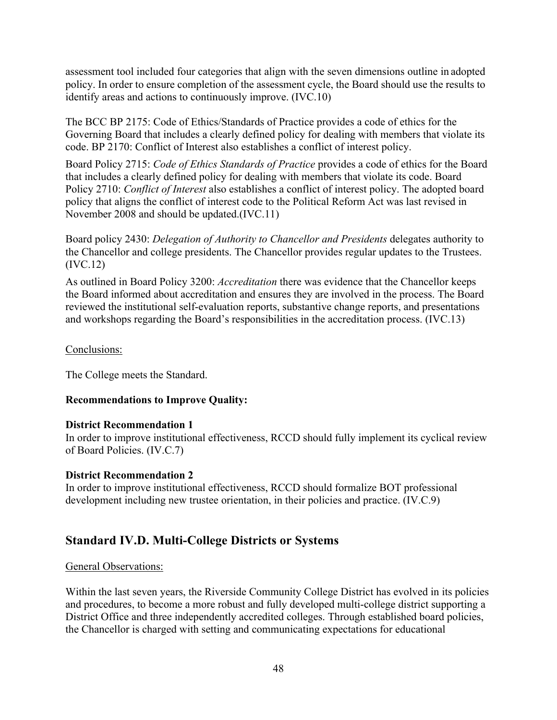assessment tool included four categories that align with the seven dimensions outline in adopted policy. In order to ensure completion of the assessment cycle, the Board should use the results to identify areas and actions to continuously improve. (IVC.10)

The BCC BP 2175: Code of Ethics/Standards of Practice provides a code of ethics for the Governing Board that includes a clearly defined policy for dealing with members that violate its code. BP 2170: Conflict of Interest also establishes a conflict of interest policy.

Board Policy 2715: *Code of Ethics Standards of Practice* provides a code of ethics for the Board that includes a clearly defined policy for dealing with members that violate its code. Board Policy 2710: *Conflict of Interest* also establishes a conflict of interest policy. The adopted board policy that aligns the conflict of interest code to the Political Reform Act was last revised in November 2008 and should be updated.(IVC.11)

Board policy 2430: *Delegation of Authority to Chancellor and Presidents* delegates authority to the Chancellor and college presidents. The Chancellor provides regular updates to the Trustees. (IVC.12)

As outlined in Board Policy 3200: *Accreditation* there was evidence that the Chancellor keeps the Board informed about accreditation and ensures they are involved in the process. The Board reviewed the institutional self-evaluation reports, substantive change reports, and presentations and workshops regarding the Board's responsibilities in the accreditation process. (IVC.13)

## Conclusions:

The College meets the Standard.

## **Recommendations to Improve Quality:**

#### **District Recommendation 1**

In order to improve institutional effectiveness, RCCD should fully implement its cyclical review of Board Policies. (IV.C.7)

#### **District Recommendation 2**

In order to improve institutional effectiveness, RCCD should formalize BOT professional development including new trustee orientation, in their policies and practice. (IV.C.9)

# **Standard IV.D. Multi-College Districts or Systems**

#### General Observations:

Within the last seven years, the Riverside Community College District has evolved in its policies and procedures, to become a more robust and fully developed multi-college district supporting a District Office and three independently accredited colleges. Through established board policies, the Chancellor is charged with setting and communicating expectations for educational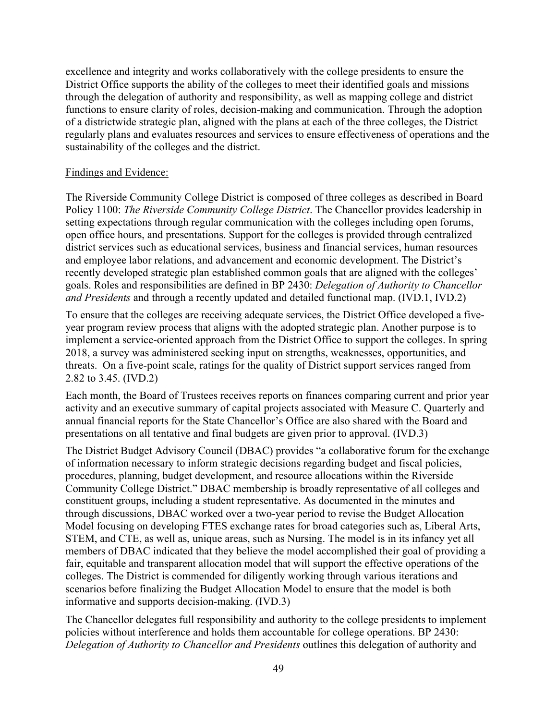excellence and integrity and works collaboratively with the college presidents to ensure the District Office supports the ability of the colleges to meet their identified goals and missions through the delegation of authority and responsibility, as well as mapping college and district functions to ensure clarity of roles, decision-making and communication. Through the adoption of a districtwide strategic plan, aligned with the plans at each of the three colleges, the District regularly plans and evaluates resources and services to ensure effectiveness of operations and the sustainability of the colleges and the district.

#### Findings and Evidence:

The Riverside Community College District is composed of three colleges as described in Board Policy 1100: *The Riverside Community College District*. The Chancellor provides leadership in setting expectations through regular communication with the colleges including open forums, open office hours, and presentations. Support for the colleges is provided through centralized district services such as educational services, business and financial services, human resources and employee labor relations, and advancement and economic development. The District's recently developed strategic plan established common goals that are aligned with the colleges' goals. Roles and responsibilities are defined in BP 2430: *Delegation of Authority to Chancellor and Presidents* and through a recently updated and detailed functional map. (IVD.1, IVD.2)

To ensure that the colleges are receiving adequate services, the District Office developed a fiveyear program review process that aligns with the adopted strategic plan. Another purpose is to implement a service-oriented approach from the District Office to support the colleges. In spring 2018, a survey was administered seeking input on strengths, weaknesses, opportunities, and threats. On a five-point scale, ratings for the quality of District support services ranged from 2.82 to 3.45. (IVD.2)

Each month, the Board of Trustees receives reports on finances comparing current and prior year activity and an executive summary of capital projects associated with Measure C. Quarterly and annual financial reports for the State Chancellor's Office are also shared with the Board and presentations on all tentative and final budgets are given prior to approval. (IVD.3)

The District Budget Advisory Council (DBAC) provides "a collaborative forum for the exchange of information necessary to inform strategic decisions regarding budget and fiscal policies, procedures, planning, budget development, and resource allocations within the Riverside Community College District." DBAC membership is broadly representative of all colleges and constituent groups, including a student representative. As documented in the minutes and through discussions, DBAC worked over a two-year period to revise the Budget Allocation Model focusing on developing FTES exchange rates for broad categories such as, Liberal Arts, STEM, and CTE, as well as, unique areas, such as Nursing. The model is in its infancy yet all members of DBAC indicated that they believe the model accomplished their goal of providing a fair, equitable and transparent allocation model that will support the effective operations of the colleges. The District is commended for diligently working through various iterations and scenarios before finalizing the Budget Allocation Model to ensure that the model is both informative and supports decision-making. (IVD.3)

The Chancellor delegates full responsibility and authority to the college presidents to implement policies without interference and holds them accountable for college operations. BP 2430: *Delegation of Authority to Chancellor and Presidents* outlines this delegation of authority and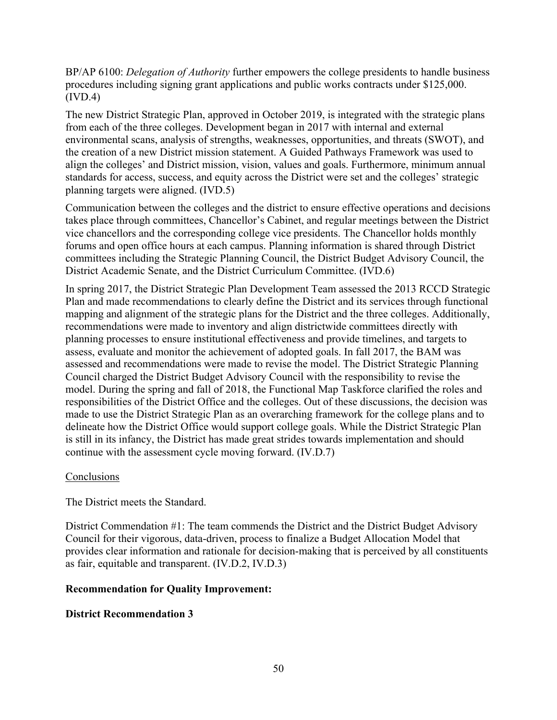BP/AP 6100: *Delegation of Authority* further empowers the college presidents to handle business procedures including signing grant applications and public works contracts under \$125,000. (IVD.4)

The new District Strategic Plan, approved in October 2019, is integrated with the strategic plans from each of the three colleges. Development began in 2017 with internal and external environmental scans, analysis of strengths, weaknesses, opportunities, and threats (SWOT), and the creation of a new District mission statement. A Guided Pathways Framework was used to align the colleges' and District mission, vision, values and goals. Furthermore, minimum annual standards for access, success, and equity across the District were set and the colleges' strategic planning targets were aligned. (IVD.5)

Communication between the colleges and the district to ensure effective operations and decisions takes place through committees, Chancellor's Cabinet, and regular meetings between the District vice chancellors and the corresponding college vice presidents. The Chancellor holds monthly forums and open office hours at each campus. Planning information is shared through District committees including the Strategic Planning Council, the District Budget Advisory Council, the District Academic Senate, and the District Curriculum Committee. (IVD.6)

In spring 2017, the District Strategic Plan Development Team assessed the 2013 RCCD Strategic Plan and made recommendations to clearly define the District and its services through functional mapping and alignment of the strategic plans for the District and the three colleges. Additionally, recommendations were made to inventory and align districtwide committees directly with planning processes to ensure institutional effectiveness and provide timelines, and targets to assess, evaluate and monitor the achievement of adopted goals. In fall 2017, the BAM was assessed and recommendations were made to revise the model. The District Strategic Planning Council charged the District Budget Advisory Council with the responsibility to revise the model. During the spring and fall of 2018, the Functional Map Taskforce clarified the roles and responsibilities of the District Office and the colleges. Out of these discussions, the decision was made to use the District Strategic Plan as an overarching framework for the college plans and to delineate how the District Office would support college goals. While the District Strategic Plan is still in its infancy, the District has made great strides towards implementation and should continue with the assessment cycle moving forward. (IV.D.7)

#### **Conclusions**

The District meets the Standard.

District Commendation #1: The team commends the District and the District Budget Advisory Council for their vigorous, data-driven, process to finalize a Budget Allocation Model that provides clear information and rationale for decision-making that is perceived by all constituents as fair, equitable and transparent. (IV.D.2, IV.D.3)

## **Recommendation for Quality Improvement:**

## **District Recommendation 3**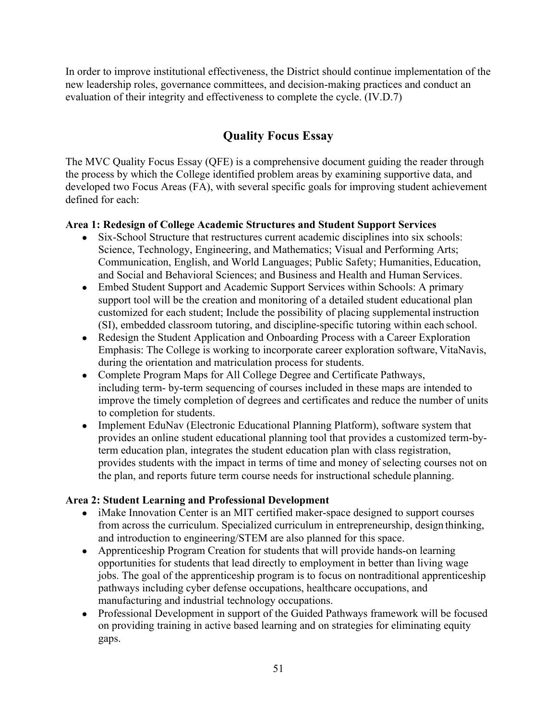In order to improve institutional effectiveness, the District should continue implementation of the new leadership roles, governance committees, and decision-making practices and conduct an evaluation of their integrity and effectiveness to complete the cycle. (IV.D.7)

# **Quality Focus Essay**

The MVC Quality Focus Essay (QFE) is a comprehensive document guiding the reader through the process by which the College identified problem areas by examining supportive data, and developed two Focus Areas (FA), with several specific goals for improving student achievement defined for each:

## **Area 1: Redesign of College Academic Structures and Student Support Services**

- Six-School Structure that restructures current academic disciplines into six schools: Science, Technology, Engineering, and Mathematics; Visual and Performing Arts; Communication, English, and World Languages; Public Safety; Humanities, Education, and Social and Behavioral Sciences; and Business and Health and Human Services.
- Embed Student Support and Academic Support Services within Schools: A primary support tool will be the creation and monitoring of a detailed student educational plan customized for each student; Include the possibility of placing supplemental instruction (SI), embedded classroom tutoring, and discipline-specific tutoring within each school.
- Redesign the Student Application and Onboarding Process with a Career Exploration Emphasis: The College is working to incorporate career exploration software, VitaNavis, during the orientation and matriculation process for students.
- Complete Program Maps for All College Degree and Certificate Pathways, including term- by-term sequencing of courses included in these maps are intended to improve the timely completion of degrees and certificates and reduce the number of units to completion for students.
- Implement EduNav (Electronic Educational Planning Platform), software system that provides an online student educational planning tool that provides a customized term-byterm education plan, integrates the student education plan with class registration, provides students with the impact in terms of time and money of selecting courses not on the plan, and reports future term course needs for instructional schedule planning.

## **Area 2: Student Learning and Professional Development**

- iMake Innovation Center is an MIT certified maker-space designed to support courses from across the curriculum. Specialized curriculum in entrepreneurship, design thinking, and introduction to engineering/STEM are also planned for this space.
- Apprenticeship Program Creation for students that will provide hands-on learning opportunities for students that lead directly to employment in better than living wage jobs. The goal of the apprenticeship program is to focus on nontraditional apprenticeship pathways including cyber defense occupations, healthcare occupations, and manufacturing and industrial technology occupations.
- Professional Development in support of the Guided Pathways framework will be focused on providing training in active based learning and on strategies for eliminating equity gaps.